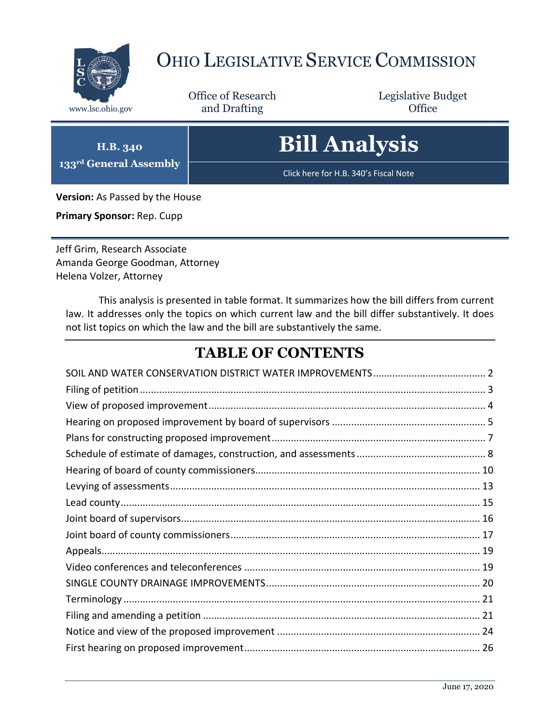

# OHIO LEGISLATIVE SERVICE COMMISSION

Office of Research www.lsc.ohio.gov **and Drafting Office** 

Legislative Budget

**H.B. 340 133rd General Assembly** **Bill Analysis**

Click here for H.B. 340's Fiscal Note

**Version:** As Passed by the House

**Primary Sponsor:** Rep. Cupp

Jeff Grim, Research Associate Amanda George Goodman, Attorney Helena Volzer, Attorney

This analysis is presented in table format. It summarizes how the bill differs from current law. It addresses only the topics on which current law and the bill differ substantively. It does not list topics on which the law and the bill are substantively the same.

### **TABLE OF CONTENTS**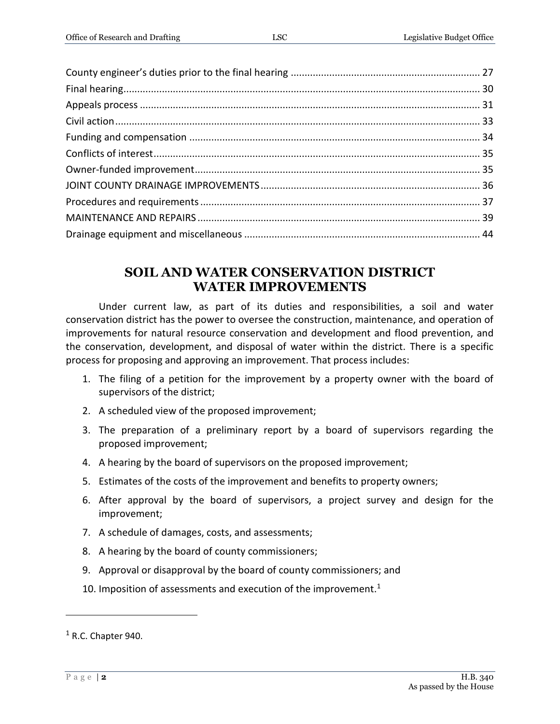#### **SOIL AND WATER CONSERVATION DISTRICT WATER IMPROVEMENTS**

<span id="page-1-0"></span>Under current law, as part of its duties and responsibilities, a soil and water conservation district has the power to oversee the construction, maintenance, and operation of improvements for natural resource conservation and development and flood prevention, and the conservation, development, and disposal of water within the district. There is a specific process for proposing and approving an improvement. That process includes:

- 1. The filing of a petition for the improvement by a property owner with the board of supervisors of the district;
- 2. A scheduled view of the proposed improvement;
- 3. The preparation of a preliminary report by a board of supervisors regarding the proposed improvement;
- 4. A hearing by the board of supervisors on the proposed improvement;
- 5. Estimates of the costs of the improvement and benefits to property owners;
- 6. After approval by the board of supervisors, a project survey and design for the improvement;
- 7. A schedule of damages, costs, and assessments;
- 8. A hearing by the board of county commissioners;
- 9. Approval or disapproval by the board of county commissioners; and
- 10. Imposition of assessments and execution of the improvement.<sup>1</sup>

 $\overline{a}$ 

 $<sup>1</sup>$  R.C. Chapter 940.</sup>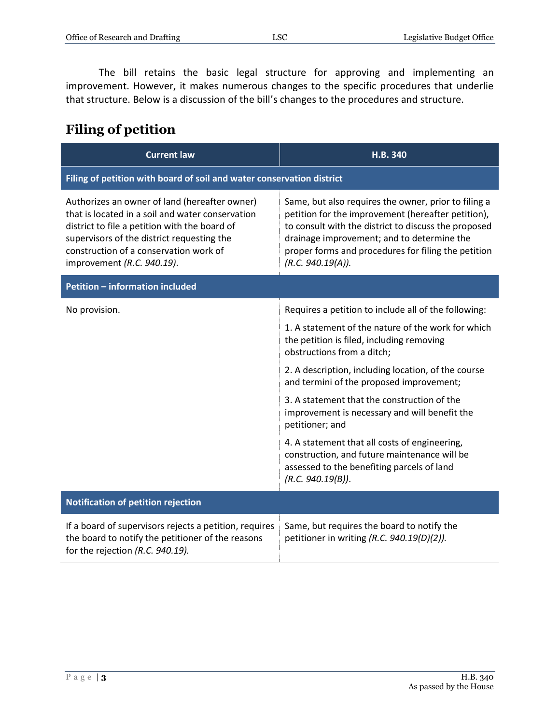The bill retains the basic legal structure for approving and implementing an improvement. However, it makes numerous changes to the specific procedures that underlie that structure. Below is a discussion of the bill's changes to the procedures and structure.

#### <span id="page-2-0"></span>**Filing of petition**

| <b>Current law</b>                                                                                                                                                                                                                                                       | H.B. 340                                                                                                                                                                                                                                                                                     |  |
|--------------------------------------------------------------------------------------------------------------------------------------------------------------------------------------------------------------------------------------------------------------------------|----------------------------------------------------------------------------------------------------------------------------------------------------------------------------------------------------------------------------------------------------------------------------------------------|--|
| Filing of petition with board of soil and water conservation district                                                                                                                                                                                                    |                                                                                                                                                                                                                                                                                              |  |
| Authorizes an owner of land (hereafter owner)<br>that is located in a soil and water conservation<br>district to file a petition with the board of<br>supervisors of the district requesting the<br>construction of a conservation work of<br>improvement (R.C. 940.19). | Same, but also requires the owner, prior to filing a<br>petition for the improvement (hereafter petition),<br>to consult with the district to discuss the proposed<br>drainage improvement; and to determine the<br>proper forms and procedures for filing the petition<br>(R.C. 940.19(A)). |  |
| <b>Petition - information included</b>                                                                                                                                                                                                                                   |                                                                                                                                                                                                                                                                                              |  |
| No provision.                                                                                                                                                                                                                                                            | Requires a petition to include all of the following:                                                                                                                                                                                                                                         |  |
|                                                                                                                                                                                                                                                                          | 1. A statement of the nature of the work for which<br>the petition is filed, including removing<br>obstructions from a ditch;                                                                                                                                                                |  |
|                                                                                                                                                                                                                                                                          | 2. A description, including location, of the course<br>and termini of the proposed improvement;                                                                                                                                                                                              |  |
|                                                                                                                                                                                                                                                                          | 3. A statement that the construction of the<br>improvement is necessary and will benefit the<br>petitioner; and                                                                                                                                                                              |  |
|                                                                                                                                                                                                                                                                          | 4. A statement that all costs of engineering,<br>construction, and future maintenance will be<br>assessed to the benefiting parcels of land<br>(R.C. 940.19(B)).                                                                                                                             |  |
| <b>Notification of petition rejection</b>                                                                                                                                                                                                                                |                                                                                                                                                                                                                                                                                              |  |
| If a board of supervisors rejects a petition, requires<br>the board to notify the petitioner of the reasons<br>for the rejection (R.C. 940.19).                                                                                                                          | Same, but requires the board to notify the<br>petitioner in writing (R.C. 940.19(D)(2)).                                                                                                                                                                                                     |  |

As passed by the House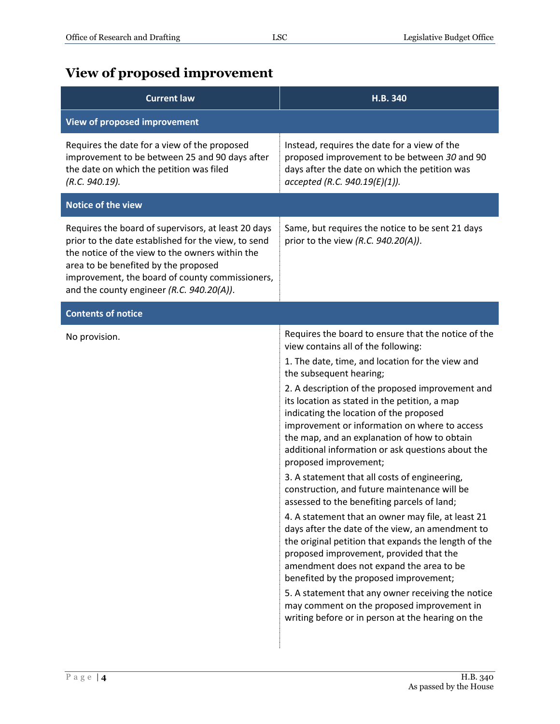### <span id="page-3-0"></span>**View of proposed improvement**

| <b>Current law</b>                                                                                                                                                                                                                                                                                    | H.B. 340                                                                                                                                                                                                                                                                                                                                                                                                                                                                                                                                                                                                                                                                                                                                                                                                                                                                                                                                                                                                                                                                                                             |
|-------------------------------------------------------------------------------------------------------------------------------------------------------------------------------------------------------------------------------------------------------------------------------------------------------|----------------------------------------------------------------------------------------------------------------------------------------------------------------------------------------------------------------------------------------------------------------------------------------------------------------------------------------------------------------------------------------------------------------------------------------------------------------------------------------------------------------------------------------------------------------------------------------------------------------------------------------------------------------------------------------------------------------------------------------------------------------------------------------------------------------------------------------------------------------------------------------------------------------------------------------------------------------------------------------------------------------------------------------------------------------------------------------------------------------------|
| View of proposed improvement                                                                                                                                                                                                                                                                          |                                                                                                                                                                                                                                                                                                                                                                                                                                                                                                                                                                                                                                                                                                                                                                                                                                                                                                                                                                                                                                                                                                                      |
| Requires the date for a view of the proposed<br>improvement to be between 25 and 90 days after<br>the date on which the petition was filed<br>(R.C. 940.19).                                                                                                                                          | Instead, requires the date for a view of the<br>proposed improvement to be between 30 and 90<br>days after the date on which the petition was<br>accepted (R.C. 940.19(E)(1)).                                                                                                                                                                                                                                                                                                                                                                                                                                                                                                                                                                                                                                                                                                                                                                                                                                                                                                                                       |
| <b>Notice of the view</b>                                                                                                                                                                                                                                                                             |                                                                                                                                                                                                                                                                                                                                                                                                                                                                                                                                                                                                                                                                                                                                                                                                                                                                                                                                                                                                                                                                                                                      |
| Requires the board of supervisors, at least 20 days<br>prior to the date established for the view, to send<br>the notice of the view to the owners within the<br>area to be benefited by the proposed<br>improvement, the board of county commissioners,<br>and the county engineer (R.C. 940.20(A)). | Same, but requires the notice to be sent 21 days<br>prior to the view (R.C. $940.20(A)$ ).                                                                                                                                                                                                                                                                                                                                                                                                                                                                                                                                                                                                                                                                                                                                                                                                                                                                                                                                                                                                                           |
| <b>Contents of notice</b>                                                                                                                                                                                                                                                                             |                                                                                                                                                                                                                                                                                                                                                                                                                                                                                                                                                                                                                                                                                                                                                                                                                                                                                                                                                                                                                                                                                                                      |
| No provision.                                                                                                                                                                                                                                                                                         | Requires the board to ensure that the notice of the<br>view contains all of the following:<br>1. The date, time, and location for the view and<br>the subsequent hearing;<br>2. A description of the proposed improvement and<br>its location as stated in the petition, a map<br>indicating the location of the proposed<br>improvement or information on where to access<br>the map, and an explanation of how to obtain<br>additional information or ask questions about the<br>proposed improvement;<br>3. A statement that all costs of engineering,<br>construction, and future maintenance will be<br>assessed to the benefiting parcels of land;<br>4. A statement that an owner may file, at least 21<br>days after the date of the view, an amendment to<br>the original petition that expands the length of the<br>proposed improvement, provided that the<br>amendment does not expand the area to be<br>benefited by the proposed improvement;<br>5. A statement that any owner receiving the notice<br>may comment on the proposed improvement in<br>writing before or in person at the hearing on the |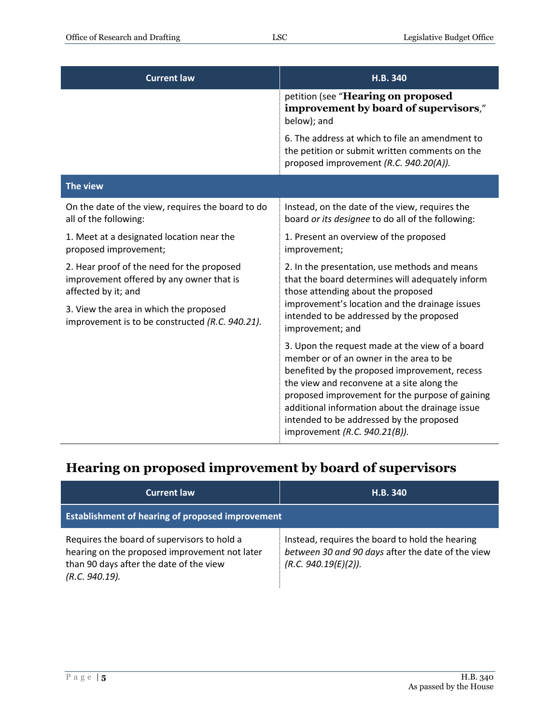| <b>Current law</b>                                                                                            | H.B. 340                                                                                                                                                                                                                                                                                                                                                                     |
|---------------------------------------------------------------------------------------------------------------|------------------------------------------------------------------------------------------------------------------------------------------------------------------------------------------------------------------------------------------------------------------------------------------------------------------------------------------------------------------------------|
|                                                                                                               | petition (see "Hearing on proposed<br>improvement by board of supervisors,"<br>below); and                                                                                                                                                                                                                                                                                   |
|                                                                                                               | 6. The address at which to file an amendment to<br>the petition or submit written comments on the<br>proposed improvement (R.C. 940.20(A)).                                                                                                                                                                                                                                  |
| <b>The view</b>                                                                                               |                                                                                                                                                                                                                                                                                                                                                                              |
| On the date of the view, requires the board to do<br>all of the following:                                    | Instead, on the date of the view, requires the<br>board or its designee to do all of the following:                                                                                                                                                                                                                                                                          |
| 1. Meet at a designated location near the<br>proposed improvement;                                            | 1. Present an overview of the proposed<br>improvement;                                                                                                                                                                                                                                                                                                                       |
| 2. Hear proof of the need for the proposed<br>improvement offered by any owner that is<br>affected by it; and | 2. In the presentation, use methods and means<br>that the board determines will adequately inform<br>those attending about the proposed                                                                                                                                                                                                                                      |
| 3. View the area in which the proposed<br>improvement is to be constructed (R.C. 940.21).                     | improvement's location and the drainage issues<br>intended to be addressed by the proposed<br>improvement; and                                                                                                                                                                                                                                                               |
|                                                                                                               | 3. Upon the request made at the view of a board<br>member or of an owner in the area to be<br>benefited by the proposed improvement, recess<br>the view and reconvene at a site along the<br>proposed improvement for the purpose of gaining<br>additional information about the drainage issue<br>intended to be addressed by the proposed<br>improvement (R.C. 940.21(B)). |

### <span id="page-4-0"></span>**Hearing on proposed improvement by board of supervisors**

| <b>Current law</b>                                                                                                                                        | H.B. 340                                                                                                                     |
|-----------------------------------------------------------------------------------------------------------------------------------------------------------|------------------------------------------------------------------------------------------------------------------------------|
| <b>Establishment of hearing of proposed improvement</b>                                                                                                   |                                                                                                                              |
| Requires the board of supervisors to hold a<br>hearing on the proposed improvement not later<br>than 90 days after the date of the view<br>(R.C. 940.19). | Instead, requires the board to hold the hearing<br>between 30 and 90 days after the date of the view<br>(R.C. 940.19(E)(2)). |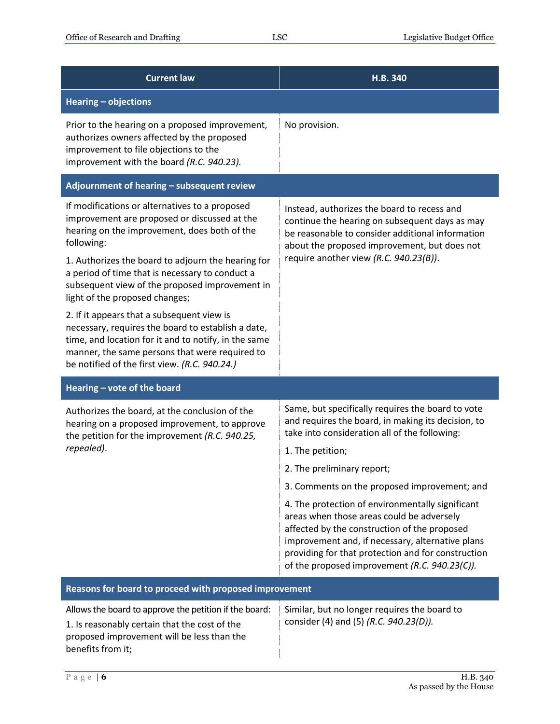| <b>Current law</b>                                                                                                                                                                                                                                                                                                      | H.B. 340                                                                                                                                                                                                                                                                                                 |  |
|-------------------------------------------------------------------------------------------------------------------------------------------------------------------------------------------------------------------------------------------------------------------------------------------------------------------------|----------------------------------------------------------------------------------------------------------------------------------------------------------------------------------------------------------------------------------------------------------------------------------------------------------|--|
| <b>Hearing - objections</b>                                                                                                                                                                                                                                                                                             |                                                                                                                                                                                                                                                                                                          |  |
| Prior to the hearing on a proposed improvement,<br>authorizes owners affected by the proposed<br>improvement to file objections to the<br>improvement with the board (R.C. 940.23).                                                                                                                                     | No provision.                                                                                                                                                                                                                                                                                            |  |
| Adjournment of hearing - subsequent review                                                                                                                                                                                                                                                                              |                                                                                                                                                                                                                                                                                                          |  |
| If modifications or alternatives to a proposed<br>improvement are proposed or discussed at the<br>hearing on the improvement, does both of the<br>following:<br>1. Authorizes the board to adjourn the hearing for<br>a period of time that is necessary to conduct a<br>subsequent view of the proposed improvement in | Instead, authorizes the board to recess and<br>continue the hearing on subsequent days as may<br>be reasonable to consider additional information<br>about the proposed improvement, but does not<br>require another view (R.C. 940.23(B)).                                                              |  |
| light of the proposed changes;<br>2. If it appears that a subsequent view is<br>necessary, requires the board to establish a date,<br>time, and location for it and to notify, in the same<br>manner, the same persons that were required to<br>be notified of the first view. (R.C. 940.24.)                           |                                                                                                                                                                                                                                                                                                          |  |
| Hearing - vote of the board                                                                                                                                                                                                                                                                                             |                                                                                                                                                                                                                                                                                                          |  |
| Authorizes the board, at the conclusion of the<br>hearing on a proposed improvement, to approve<br>the petition for the improvement (R.C. 940.25,                                                                                                                                                                       | Same, but specifically requires the board to vote<br>and requires the board, in making its decision, to<br>take into consideration all of the following:                                                                                                                                                 |  |
| repealed).                                                                                                                                                                                                                                                                                                              | 1. The petition;                                                                                                                                                                                                                                                                                         |  |
|                                                                                                                                                                                                                                                                                                                         | 2. The preliminary report;                                                                                                                                                                                                                                                                               |  |
|                                                                                                                                                                                                                                                                                                                         | 3. Comments on the proposed improvement; and                                                                                                                                                                                                                                                             |  |
|                                                                                                                                                                                                                                                                                                                         | 4. The protection of environmentally significant<br>areas when those areas could be adversely<br>affected by the construction of the proposed<br>improvement and, if necessary, alternative plans<br>providing for that protection and for construction<br>of the proposed improvement (R.C. 940.23(C)). |  |
| Reasons for board to proceed with proposed improvement                                                                                                                                                                                                                                                                  |                                                                                                                                                                                                                                                                                                          |  |
| Allows the board to approve the petition if the board:<br>1. Is reasonably certain that the cost of the<br>proposed improvement will be less than the<br>benefits from it;                                                                                                                                              | Similar, but no longer requires the board to<br>consider (4) and (5) (R.C. 940.23(D)).                                                                                                                                                                                                                   |  |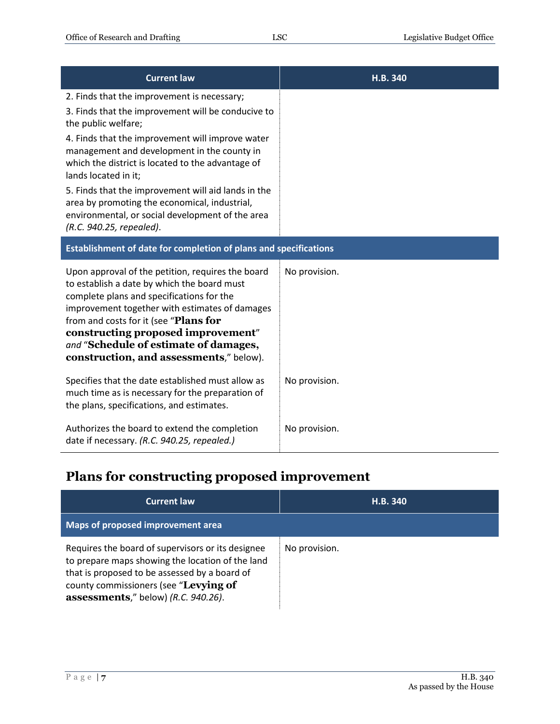| <b>Current law</b>                                                                                                                                                                                                                                                                                                                                                                                                                                                                               | H.B. 340      |
|--------------------------------------------------------------------------------------------------------------------------------------------------------------------------------------------------------------------------------------------------------------------------------------------------------------------------------------------------------------------------------------------------------------------------------------------------------------------------------------------------|---------------|
| 2. Finds that the improvement is necessary;<br>3. Finds that the improvement will be conducive to<br>the public welfare;<br>4. Finds that the improvement will improve water<br>management and development in the county in<br>which the district is located to the advantage of<br>lands located in it;<br>5. Finds that the improvement will aid lands in the<br>area by promoting the economical, industrial,<br>environmental, or social development of the area<br>(R.C. 940.25, repealed). |               |
| Establishment of date for completion of plans and specifications                                                                                                                                                                                                                                                                                                                                                                                                                                 |               |
| Upon approval of the petition, requires the board<br>to establish a date by which the board must<br>complete plans and specifications for the<br>improvement together with estimates of damages<br>from and costs for it (see "Plans for<br>constructing proposed improvement"<br>and "Schedule of estimate of damages,<br>construction, and assessments," below).                                                                                                                               | No provision. |
| Specifies that the date established must allow as<br>much time as is necessary for the preparation of<br>the plans, specifications, and estimates.                                                                                                                                                                                                                                                                                                                                               | No provision. |
| Authorizes the board to extend the completion<br>date if necessary. (R.C. 940.25, repealed.)                                                                                                                                                                                                                                                                                                                                                                                                     | No provision. |

### <span id="page-6-0"></span>**Plans for constructing proposed improvement**

| <b>Current law</b>                                                                                                                                                                                                                     | <b>H.B. 340</b> |
|----------------------------------------------------------------------------------------------------------------------------------------------------------------------------------------------------------------------------------------|-----------------|
| Maps of proposed improvement area                                                                                                                                                                                                      |                 |
| Requires the board of supervisors or its designee<br>to prepare maps showing the location of the land<br>that is proposed to be assessed by a board of<br>county commissioners (see "Levying of<br>assessments," below) (R.C. 940.26). | No provision.   |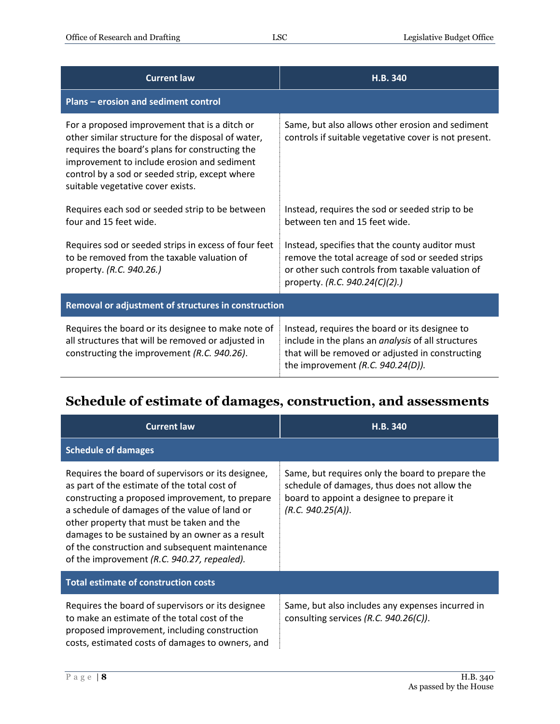| <b>Current law</b>                                                                                                                                                                                                                                                                           | H.B. 340                                                                                                                                                                                                |
|----------------------------------------------------------------------------------------------------------------------------------------------------------------------------------------------------------------------------------------------------------------------------------------------|---------------------------------------------------------------------------------------------------------------------------------------------------------------------------------------------------------|
| Plans - erosion and sediment control                                                                                                                                                                                                                                                         |                                                                                                                                                                                                         |
| For a proposed improvement that is a ditch or<br>other similar structure for the disposal of water,<br>requires the board's plans for constructing the<br>improvement to include erosion and sediment<br>control by a sod or seeded strip, except where<br>suitable vegetative cover exists. | Same, but also allows other erosion and sediment<br>controls if suitable vegetative cover is not present.                                                                                               |
| Requires each sod or seeded strip to be between<br>four and 15 feet wide.                                                                                                                                                                                                                    | Instead, requires the sod or seeded strip to be<br>between ten and 15 feet wide.                                                                                                                        |
| Requires sod or seeded strips in excess of four feet<br>to be removed from the taxable valuation of<br>property. (R.C. 940.26.)                                                                                                                                                              | Instead, specifies that the county auditor must<br>remove the total acreage of sod or seeded strips<br>or other such controls from taxable valuation of<br>property. (R.C. 940.24(C)(2).)               |
| Removal or adjustment of structures in construction                                                                                                                                                                                                                                          |                                                                                                                                                                                                         |
| Requires the board or its designee to make note of<br>all structures that will be removed or adjusted in<br>constructing the improvement (R.C. 940.26).                                                                                                                                      | Instead, requires the board or its designee to<br>include in the plans an <i>analysis</i> of all structures<br>that will be removed or adjusted in constructing<br>the improvement $(R.C. 940.24(D))$ . |

### <span id="page-7-0"></span>**Schedule of estimate of damages, construction, and assessments**

| <b>Current law</b>                                                                                                                                                                                                                                                                                                                                                                                      | H.B. 340                                                                                                                                                           |
|---------------------------------------------------------------------------------------------------------------------------------------------------------------------------------------------------------------------------------------------------------------------------------------------------------------------------------------------------------------------------------------------------------|--------------------------------------------------------------------------------------------------------------------------------------------------------------------|
| <b>Schedule of damages</b>                                                                                                                                                                                                                                                                                                                                                                              |                                                                                                                                                                    |
| Requires the board of supervisors or its designee,<br>as part of the estimate of the total cost of<br>constructing a proposed improvement, to prepare<br>a schedule of damages of the value of land or<br>other property that must be taken and the<br>damages to be sustained by an owner as a result<br>of the construction and subsequent maintenance<br>of the improvement (R.C. 940.27, repealed). | Same, but requires only the board to prepare the<br>schedule of damages, thus does not allow the<br>board to appoint a designee to prepare it<br>(R.C. 940.25(A)). |
| <b>Total estimate of construction costs</b>                                                                                                                                                                                                                                                                                                                                                             |                                                                                                                                                                    |
| Requires the board of supervisors or its designee<br>to make an estimate of the total cost of the<br>proposed improvement, including construction<br>costs, estimated costs of damages to owners, and                                                                                                                                                                                                   | Same, but also includes any expenses incurred in<br>consulting services (R.C. 940.26(C)).                                                                          |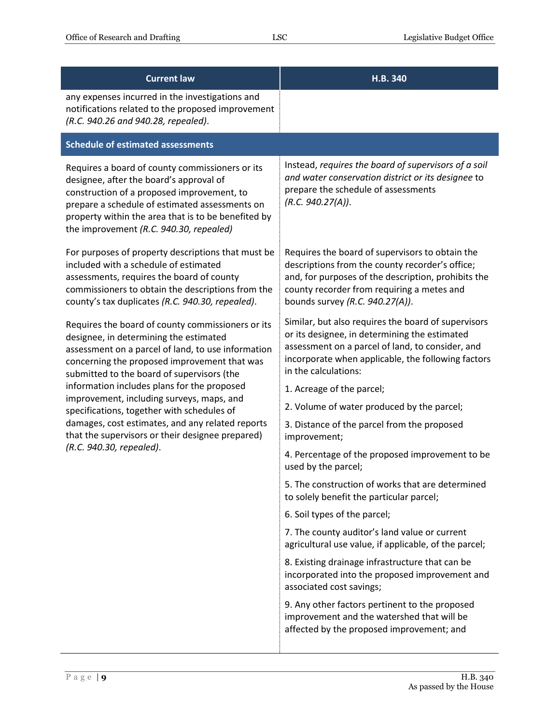| <b>Current law</b>                                                                                                                                                                                                                                                                           | H.B. 340                                                                                                                                                                                                                                   |
|----------------------------------------------------------------------------------------------------------------------------------------------------------------------------------------------------------------------------------------------------------------------------------------------|--------------------------------------------------------------------------------------------------------------------------------------------------------------------------------------------------------------------------------------------|
| any expenses incurred in the investigations and<br>notifications related to the proposed improvement<br>(R.C. 940.26 and 940.28, repealed).                                                                                                                                                  |                                                                                                                                                                                                                                            |
| <b>Schedule of estimated assessments</b>                                                                                                                                                                                                                                                     |                                                                                                                                                                                                                                            |
| Requires a board of county commissioners or its<br>designee, after the board's approval of<br>construction of a proposed improvement, to<br>prepare a schedule of estimated assessments on<br>property within the area that is to be benefited by<br>the improvement (R.C. 940.30, repealed) | Instead, requires the board of supervisors of a soil<br>and water conservation district or its designee to<br>prepare the schedule of assessments<br>(R.C. 940.27(A)).                                                                     |
| For purposes of property descriptions that must be<br>included with a schedule of estimated<br>assessments, requires the board of county<br>commissioners to obtain the descriptions from the<br>county's tax duplicates (R.C. 940.30, repealed).                                            | Requires the board of supervisors to obtain the<br>descriptions from the county recorder's office;<br>and, for purposes of the description, prohibits the<br>county recorder from requiring a metes and<br>bounds survey (R.C. 940.27(A)). |
| Requires the board of county commissioners or its<br>designee, in determining the estimated<br>assessment on a parcel of land, to use information<br>concerning the proposed improvement that was<br>submitted to the board of supervisors (the                                              | Similar, but also requires the board of supervisors<br>or its designee, in determining the estimated<br>assessment on a parcel of land, to consider, and<br>incorporate when applicable, the following factors<br>in the calculations:     |
| information includes plans for the proposed<br>improvement, including surveys, maps, and                                                                                                                                                                                                     | 1. Acreage of the parcel;                                                                                                                                                                                                                  |
| specifications, together with schedules of                                                                                                                                                                                                                                                   | 2. Volume of water produced by the parcel;                                                                                                                                                                                                 |
| damages, cost estimates, and any related reports<br>that the supervisors or their designee prepared)<br>(R.C. 940.30, repealed).                                                                                                                                                             | 3. Distance of the parcel from the proposed<br>improvement;                                                                                                                                                                                |
|                                                                                                                                                                                                                                                                                              | 4. Percentage of the proposed improvement to be<br>used by the parcel;                                                                                                                                                                     |
|                                                                                                                                                                                                                                                                                              | 5. The construction of works that are determined<br>to solely benefit the particular parcel;                                                                                                                                               |
|                                                                                                                                                                                                                                                                                              | 6. Soil types of the parcel;                                                                                                                                                                                                               |
|                                                                                                                                                                                                                                                                                              | 7. The county auditor's land value or current<br>agricultural use value, if applicable, of the parcel;                                                                                                                                     |
|                                                                                                                                                                                                                                                                                              | 8. Existing drainage infrastructure that can be<br>incorporated into the proposed improvement and<br>associated cost savings;                                                                                                              |
|                                                                                                                                                                                                                                                                                              | 9. Any other factors pertinent to the proposed<br>improvement and the watershed that will be<br>affected by the proposed improvement; and                                                                                                  |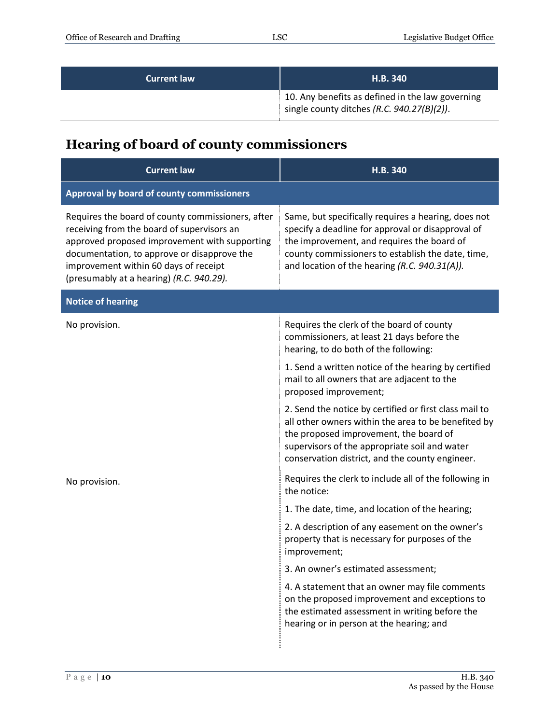| <b>Current law</b> | <b>H.B. 340</b>                                                                                   |
|--------------------|---------------------------------------------------------------------------------------------------|
|                    | 10. Any benefits as defined in the law governing<br>single county ditches $(R.C. 940.27(B)(2))$ . |

### <span id="page-9-0"></span>**Hearing of board of county commissioners**

| <b>Current law</b>                                                                                                                                                                                                                                                                   | H.B. 340                                                                                                                                                                                                                                                     |
|--------------------------------------------------------------------------------------------------------------------------------------------------------------------------------------------------------------------------------------------------------------------------------------|--------------------------------------------------------------------------------------------------------------------------------------------------------------------------------------------------------------------------------------------------------------|
| Approval by board of county commissioners                                                                                                                                                                                                                                            |                                                                                                                                                                                                                                                              |
| Requires the board of county commissioners, after<br>receiving from the board of supervisors an<br>approved proposed improvement with supporting<br>documentation, to approve or disapprove the<br>improvement within 60 days of receipt<br>(presumably at a hearing) (R.C. 940.29). | Same, but specifically requires a hearing, does not<br>specify a deadline for approval or disapproval of<br>the improvement, and requires the board of<br>county commissioners to establish the date, time,<br>and location of the hearing (R.C. 940.31(A)). |
| <b>Notice of hearing</b>                                                                                                                                                                                                                                                             |                                                                                                                                                                                                                                                              |
| No provision.                                                                                                                                                                                                                                                                        | Requires the clerk of the board of county<br>commissioners, at least 21 days before the<br>hearing, to do both of the following:                                                                                                                             |
| No provision.                                                                                                                                                                                                                                                                        | 1. Send a written notice of the hearing by certified<br>mail to all owners that are adjacent to the<br>proposed improvement;                                                                                                                                 |
|                                                                                                                                                                                                                                                                                      | 2. Send the notice by certified or first class mail to<br>all other owners within the area to be benefited by<br>the proposed improvement, the board of<br>supervisors of the appropriate soil and water<br>conservation district, and the county engineer.  |
|                                                                                                                                                                                                                                                                                      | Requires the clerk to include all of the following in<br>the notice:                                                                                                                                                                                         |
|                                                                                                                                                                                                                                                                                      | 1. The date, time, and location of the hearing;                                                                                                                                                                                                              |
|                                                                                                                                                                                                                                                                                      | 2. A description of any easement on the owner's<br>property that is necessary for purposes of the<br>improvement;                                                                                                                                            |
|                                                                                                                                                                                                                                                                                      | 3. An owner's estimated assessment;                                                                                                                                                                                                                          |
|                                                                                                                                                                                                                                                                                      | 4. A statement that an owner may file comments<br>on the proposed improvement and exceptions to<br>the estimated assessment in writing before the<br>hearing or in person at the hearing; and                                                                |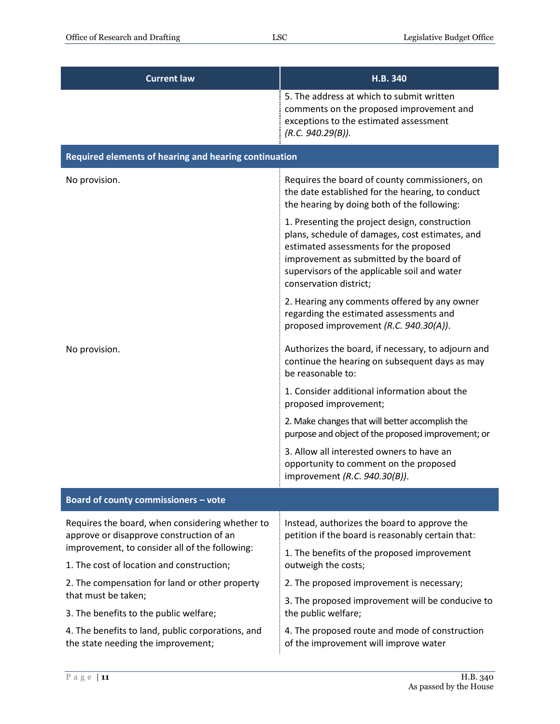| <b>Current law</b>                                                                                                                                                                         | <b>H.B. 340</b>                                                                                                                                                                                                                                                   |
|--------------------------------------------------------------------------------------------------------------------------------------------------------------------------------------------|-------------------------------------------------------------------------------------------------------------------------------------------------------------------------------------------------------------------------------------------------------------------|
|                                                                                                                                                                                            | 5. The address at which to submit written<br>comments on the proposed improvement and<br>exceptions to the estimated assessment<br>(R.C. 940.29(B)).                                                                                                              |
| Required elements of hearing and hearing continuation                                                                                                                                      |                                                                                                                                                                                                                                                                   |
| No provision.<br>No provision.                                                                                                                                                             | Requires the board of county commissioners, on<br>the date established for the hearing, to conduct<br>the hearing by doing both of the following:                                                                                                                 |
|                                                                                                                                                                                            | 1. Presenting the project design, construction<br>plans, schedule of damages, cost estimates, and<br>estimated assessments for the proposed<br>improvement as submitted by the board of<br>supervisors of the applicable soil and water<br>conservation district; |
|                                                                                                                                                                                            | 2. Hearing any comments offered by any owner<br>regarding the estimated assessments and<br>proposed improvement (R.C. 940.30(A)).                                                                                                                                 |
|                                                                                                                                                                                            | Authorizes the board, if necessary, to adjourn and<br>continue the hearing on subsequent days as may<br>be reasonable to:                                                                                                                                         |
|                                                                                                                                                                                            | 1. Consider additional information about the<br>proposed improvement;                                                                                                                                                                                             |
|                                                                                                                                                                                            | 2. Make changes that will better accomplish the<br>purpose and object of the proposed improvement; or                                                                                                                                                             |
|                                                                                                                                                                                            | 3. Allow all interested owners to have an<br>opportunity to comment on the proposed<br>improvement (R.C. 940.30(B)).                                                                                                                                              |
| Board of county commissioners - vote                                                                                                                                                       |                                                                                                                                                                                                                                                                   |
| Requires the board, when considering whether to<br>approve or disapprove construction of an<br>improvement, to consider all of the following:<br>1. The cost of location and construction; | Instead, authorizes the board to approve the<br>petition if the board is reasonably certain that:                                                                                                                                                                 |
|                                                                                                                                                                                            | 1. The benefits of the proposed improvement<br>outweigh the costs;                                                                                                                                                                                                |
| 2. The compensation for land or other property                                                                                                                                             | 2. The proposed improvement is necessary;                                                                                                                                                                                                                         |
| that must be taken;<br>3. The benefits to the public welfare;                                                                                                                              | 3. The proposed improvement will be conducive to<br>the public welfare;                                                                                                                                                                                           |
| 4. The benefits to land, public corporations, and<br>the state needing the improvement;                                                                                                    | 4. The proposed route and mode of construction<br>of the improvement will improve water                                                                                                                                                                           |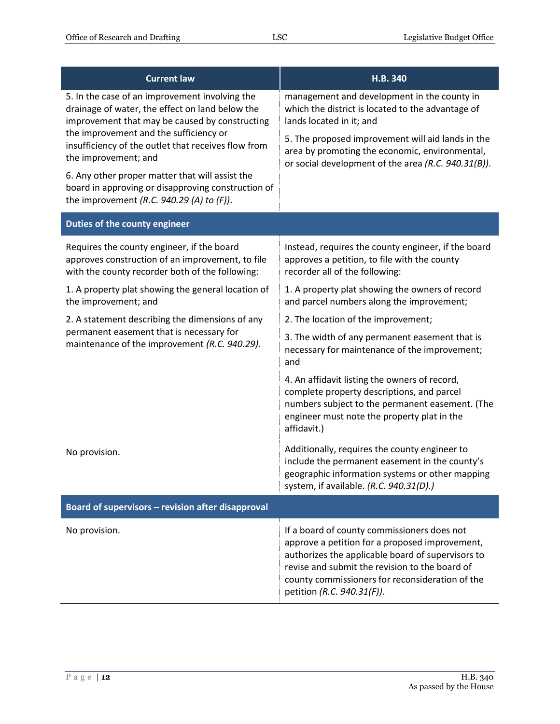| <b>Current law</b>                                                                                                                                    | H.B. 340                                                                                                                                                                                                                                                                              |
|-------------------------------------------------------------------------------------------------------------------------------------------------------|---------------------------------------------------------------------------------------------------------------------------------------------------------------------------------------------------------------------------------------------------------------------------------------|
| 5. In the case of an improvement involving the<br>drainage of water, the effect on land below the<br>improvement that may be caused by constructing   | management and development in the county in<br>which the district is located to the advantage of<br>lands located in it; and                                                                                                                                                          |
| the improvement and the sufficiency or<br>insufficiency of the outlet that receives flow from<br>the improvement; and                                 | 5. The proposed improvement will aid lands in the<br>area by promoting the economic, environmental,<br>or social development of the area (R.C. 940.31(B)).                                                                                                                            |
| 6. Any other proper matter that will assist the<br>board in approving or disapproving construction of<br>the improvement (R.C. 940.29 (A) to $(F)$ ). |                                                                                                                                                                                                                                                                                       |
| Duties of the county engineer                                                                                                                         |                                                                                                                                                                                                                                                                                       |
| Requires the county engineer, if the board<br>approves construction of an improvement, to file<br>with the county recorder both of the following:     | Instead, requires the county engineer, if the board<br>approves a petition, to file with the county<br>recorder all of the following:                                                                                                                                                 |
| 1. A property plat showing the general location of<br>the improvement; and                                                                            | 1. A property plat showing the owners of record<br>and parcel numbers along the improvement;                                                                                                                                                                                          |
| 2. A statement describing the dimensions of any                                                                                                       | 2. The location of the improvement;                                                                                                                                                                                                                                                   |
| permanent easement that is necessary for<br>maintenance of the improvement (R.C. 940.29).                                                             | 3. The width of any permanent easement that is<br>necessary for maintenance of the improvement;<br>and                                                                                                                                                                                |
|                                                                                                                                                       | 4. An affidavit listing the owners of record,<br>complete property descriptions, and parcel<br>numbers subject to the permanent easement. (The<br>engineer must note the property plat in the<br>affidavit.)                                                                          |
| No provision.                                                                                                                                         | Additionally, requires the county engineer to<br>include the permanent easement in the county's<br>geographic information systems or other mapping<br>system, if available. (R.C. 940.31(D).)                                                                                         |
| Board of supervisors - revision after disapproval                                                                                                     |                                                                                                                                                                                                                                                                                       |
| No provision.                                                                                                                                         | If a board of county commissioners does not<br>approve a petition for a proposed improvement,<br>authorizes the applicable board of supervisors to<br>revise and submit the revision to the board of<br>county commissioners for reconsideration of the<br>petition (R.C. 940.31(F)). |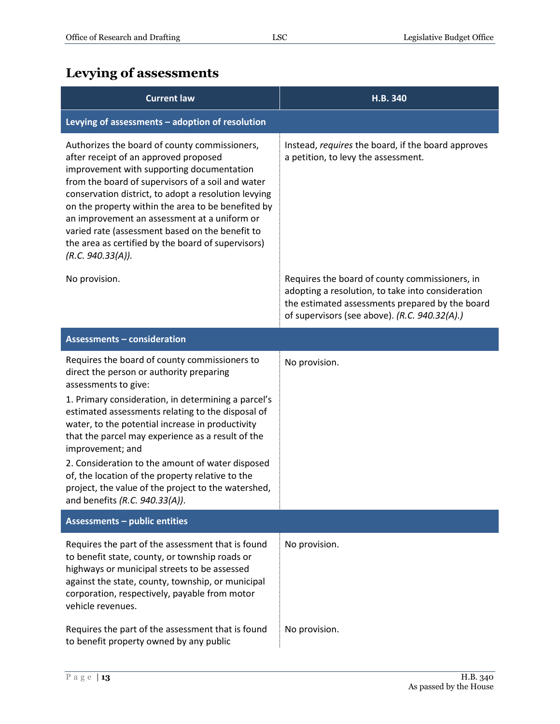### <span id="page-12-0"></span>**Levying of assessments**

| <b>Current law</b>                                                                                                                                                                                                                                                                                                                                                                                                                                                                                                                                          | H.B. 340                                                                                                                                                                                                |
|-------------------------------------------------------------------------------------------------------------------------------------------------------------------------------------------------------------------------------------------------------------------------------------------------------------------------------------------------------------------------------------------------------------------------------------------------------------------------------------------------------------------------------------------------------------|---------------------------------------------------------------------------------------------------------------------------------------------------------------------------------------------------------|
| Levying of assessments - adoption of resolution                                                                                                                                                                                                                                                                                                                                                                                                                                                                                                             |                                                                                                                                                                                                         |
| Authorizes the board of county commissioners,<br>after receipt of an approved proposed<br>improvement with supporting documentation<br>from the board of supervisors of a soil and water<br>conservation district, to adopt a resolution levying<br>on the property within the area to be benefited by<br>an improvement an assessment at a uniform or<br>varied rate (assessment based on the benefit to<br>the area as certified by the board of supervisors)<br>(R.C. 940.33(A)).                                                                        | Instead, requires the board, if the board approves<br>a petition, to levy the assessment.                                                                                                               |
| No provision.                                                                                                                                                                                                                                                                                                                                                                                                                                                                                                                                               | Requires the board of county commissioners, in<br>adopting a resolution, to take into consideration<br>the estimated assessments prepared by the board<br>of supervisors (see above). (R.C. 940.32(A).) |
| <b>Assessments - consideration</b>                                                                                                                                                                                                                                                                                                                                                                                                                                                                                                                          |                                                                                                                                                                                                         |
| Requires the board of county commissioners to<br>direct the person or authority preparing<br>assessments to give:<br>1. Primary consideration, in determining a parcel's<br>estimated assessments relating to the disposal of<br>water, to the potential increase in productivity<br>that the parcel may experience as a result of the<br>improvement; and<br>2. Consideration to the amount of water disposed<br>of, the location of the property relative to the<br>project, the value of the project to the watershed,<br>and benefits (R.C. 940.33(A)). | No provision.                                                                                                                                                                                           |
| <b>Assessments - public entities</b>                                                                                                                                                                                                                                                                                                                                                                                                                                                                                                                        |                                                                                                                                                                                                         |
| Requires the part of the assessment that is found<br>to benefit state, county, or township roads or<br>highways or municipal streets to be assessed<br>against the state, county, township, or municipal<br>corporation, respectively, payable from motor<br>vehicle revenues.                                                                                                                                                                                                                                                                              | No provision.                                                                                                                                                                                           |
| Requires the part of the assessment that is found<br>to benefit property owned by any public                                                                                                                                                                                                                                                                                                                                                                                                                                                                | No provision.                                                                                                                                                                                           |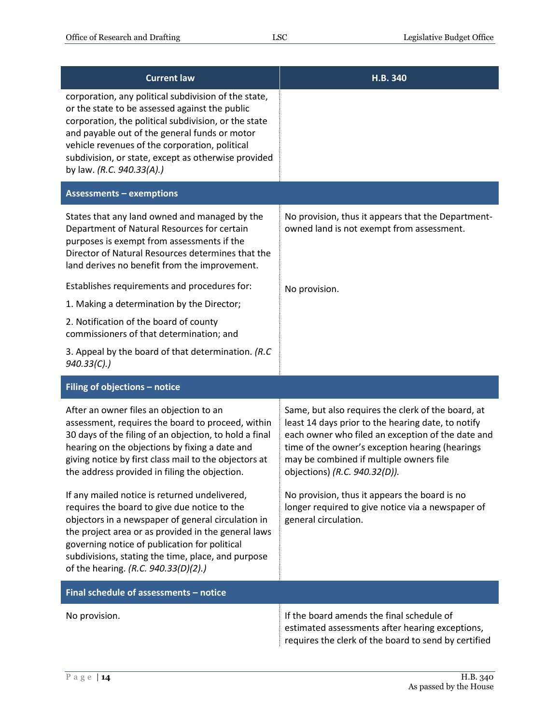| <b>Current law</b>                                                                                                                                                                                                                                                                                                                                                                                                                                                                                                               | H.B. 340                                                                                                                                                                                                                                                                                                                                                                                                                   |
|----------------------------------------------------------------------------------------------------------------------------------------------------------------------------------------------------------------------------------------------------------------------------------------------------------------------------------------------------------------------------------------------------------------------------------------------------------------------------------------------------------------------------------|----------------------------------------------------------------------------------------------------------------------------------------------------------------------------------------------------------------------------------------------------------------------------------------------------------------------------------------------------------------------------------------------------------------------------|
| corporation, any political subdivision of the state,<br>or the state to be assessed against the public<br>corporation, the political subdivision, or the state<br>and payable out of the general funds or motor<br>vehicle revenues of the corporation, political<br>subdivision, or state, except as otherwise provided<br>by law. (R.C. 940.33(A).)                                                                                                                                                                            |                                                                                                                                                                                                                                                                                                                                                                                                                            |
| <b>Assessments - exemptions</b>                                                                                                                                                                                                                                                                                                                                                                                                                                                                                                  |                                                                                                                                                                                                                                                                                                                                                                                                                            |
| States that any land owned and managed by the<br>Department of Natural Resources for certain<br>purposes is exempt from assessments if the<br>Director of Natural Resources determines that the<br>land derives no benefit from the improvement.                                                                                                                                                                                                                                                                                 | No provision, thus it appears that the Department-<br>owned land is not exempt from assessment.                                                                                                                                                                                                                                                                                                                            |
| Establishes requirements and procedures for:                                                                                                                                                                                                                                                                                                                                                                                                                                                                                     | No provision.                                                                                                                                                                                                                                                                                                                                                                                                              |
| 1. Making a determination by the Director;                                                                                                                                                                                                                                                                                                                                                                                                                                                                                       |                                                                                                                                                                                                                                                                                                                                                                                                                            |
| 2. Notification of the board of county<br>commissioners of that determination; and                                                                                                                                                                                                                                                                                                                                                                                                                                               |                                                                                                                                                                                                                                                                                                                                                                                                                            |
| 3. Appeal by the board of that determination. (R.C<br>940.33(C).                                                                                                                                                                                                                                                                                                                                                                                                                                                                 |                                                                                                                                                                                                                                                                                                                                                                                                                            |
| Filing of objections - notice                                                                                                                                                                                                                                                                                                                                                                                                                                                                                                    |                                                                                                                                                                                                                                                                                                                                                                                                                            |
| After an owner files an objection to an<br>assessment, requires the board to proceed, within<br>30 days of the filing of an objection, to hold a final<br>hearing on the objections by fixing a date and<br>giving notice by first class mail to the objectors at<br>the address provided in filing the objection.<br>If any mailed notice is returned undelivered,<br>requires the board to give due notice to the<br>objectors in a newspaper of general circulation in<br>the project area or as provided in the general laws | Same, but also requires the clerk of the board, at<br>least 14 days prior to the hearing date, to notify<br>each owner who filed an exception of the date and<br>time of the owner's exception hearing (hearings<br>may be combined if multiple owners file<br>objections) (R.C. 940.32(D)).<br>No provision, thus it appears the board is no<br>longer required to give notice via a newspaper of<br>general circulation. |
| governing notice of publication for political<br>subdivisions, stating the time, place, and purpose<br>of the hearing. (R.C. 940.33(D)(2).)                                                                                                                                                                                                                                                                                                                                                                                      |                                                                                                                                                                                                                                                                                                                                                                                                                            |
| Final schedule of assessments - notice                                                                                                                                                                                                                                                                                                                                                                                                                                                                                           |                                                                                                                                                                                                                                                                                                                                                                                                                            |
| No provision.                                                                                                                                                                                                                                                                                                                                                                                                                                                                                                                    | If the board amends the final schedule of<br>estimated assessments after hearing exceptions,<br>requires the clerk of the board to send by certified                                                                                                                                                                                                                                                                       |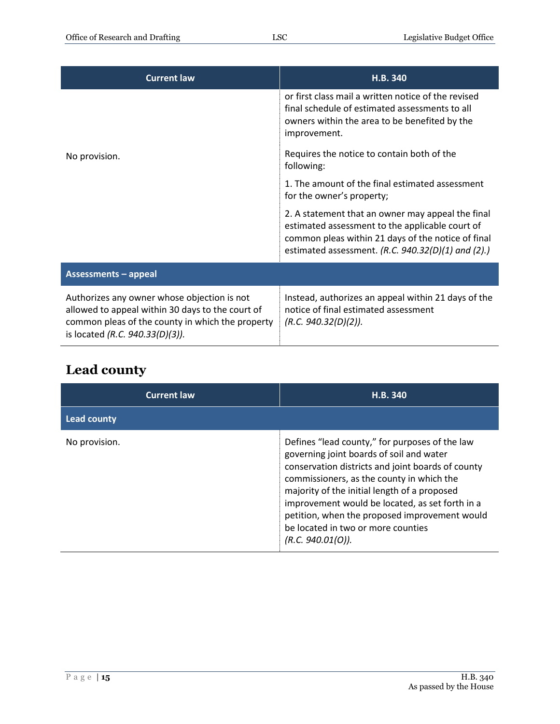| <b>Current law</b>                                                                                                                                                                     | H.B. 340                                                                                                                                                                                                           |
|----------------------------------------------------------------------------------------------------------------------------------------------------------------------------------------|--------------------------------------------------------------------------------------------------------------------------------------------------------------------------------------------------------------------|
|                                                                                                                                                                                        | or first class mail a written notice of the revised<br>final schedule of estimated assessments to all<br>owners within the area to be benefited by the<br>improvement.                                             |
| No provision.                                                                                                                                                                          | Requires the notice to contain both of the<br>following:                                                                                                                                                           |
|                                                                                                                                                                                        | 1. The amount of the final estimated assessment<br>for the owner's property;                                                                                                                                       |
|                                                                                                                                                                                        | 2. A statement that an owner may appeal the final<br>estimated assessment to the applicable court of<br>common pleas within 21 days of the notice of final<br>estimated assessment. (R.C. $940.32(D)(1)$ and (2).) |
| <b>Assessments - appeal</b>                                                                                                                                                            |                                                                                                                                                                                                                    |
| Authorizes any owner whose objection is not<br>allowed to appeal within 30 days to the court of<br>common pleas of the county in which the property<br>is located (R.C. 940.33(D)(3)). | Instead, authorizes an appeal within 21 days of the<br>notice of final estimated assessment<br>(R.C. 940.32(D)(2)).                                                                                                |

### <span id="page-14-0"></span>**Lead county**

| <b>Current law</b> | H.B. 340                                                                                                                                                                                                                                                                                                                                                                                                    |
|--------------------|-------------------------------------------------------------------------------------------------------------------------------------------------------------------------------------------------------------------------------------------------------------------------------------------------------------------------------------------------------------------------------------------------------------|
| Lead county        |                                                                                                                                                                                                                                                                                                                                                                                                             |
| No provision.      | Defines "lead county," for purposes of the law<br>governing joint boards of soil and water<br>conservation districts and joint boards of county<br>commissioners, as the county in which the<br>majority of the initial length of a proposed<br>improvement would be located, as set forth in a<br>petition, when the proposed improvement would<br>be located in two or more counties<br>(R.C. 940.01(O)). |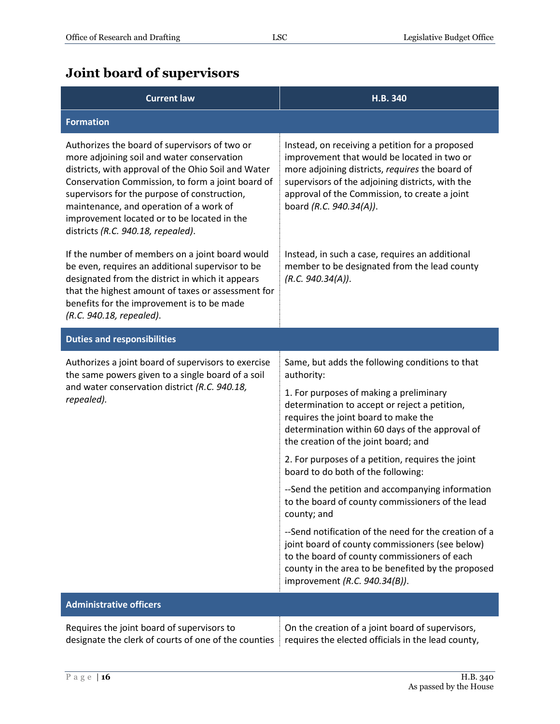### <span id="page-15-0"></span>**Joint board of supervisors**

| <b>Current law</b>                                                                                                                                                                                                                                                                                                                                                                      | H.B. 340                                                                                                                                                                                                                                                                          |
|-----------------------------------------------------------------------------------------------------------------------------------------------------------------------------------------------------------------------------------------------------------------------------------------------------------------------------------------------------------------------------------------|-----------------------------------------------------------------------------------------------------------------------------------------------------------------------------------------------------------------------------------------------------------------------------------|
| <b>Formation</b>                                                                                                                                                                                                                                                                                                                                                                        |                                                                                                                                                                                                                                                                                   |
| Authorizes the board of supervisors of two or<br>more adjoining soil and water conservation<br>districts, with approval of the Ohio Soil and Water<br>Conservation Commission, to form a joint board of<br>supervisors for the purpose of construction,<br>maintenance, and operation of a work of<br>improvement located or to be located in the<br>districts (R.C. 940.18, repealed). | Instead, on receiving a petition for a proposed<br>improvement that would be located in two or<br>more adjoining districts, requires the board of<br>supervisors of the adjoining districts, with the<br>approval of the Commission, to create a joint<br>board (R.C. 940.34(A)). |
| If the number of members on a joint board would<br>be even, requires an additional supervisor to be<br>designated from the district in which it appears<br>that the highest amount of taxes or assessment for<br>benefits for the improvement is to be made<br>(R.C. 940.18, repealed).                                                                                                 | Instead, in such a case, requires an additional<br>member to be designated from the lead county<br>(R.C. 940.34(A)).                                                                                                                                                              |
| <b>Duties and responsibilities</b>                                                                                                                                                                                                                                                                                                                                                      |                                                                                                                                                                                                                                                                                   |
| Authorizes a joint board of supervisors to exercise<br>the same powers given to a single board of a soil                                                                                                                                                                                                                                                                                | Same, but adds the following conditions to that<br>authority:                                                                                                                                                                                                                     |
| and water conservation district (R.C. 940.18,<br>repealed).                                                                                                                                                                                                                                                                                                                             | 1. For purposes of making a preliminary<br>determination to accept or reject a petition,<br>requires the joint board to make the<br>determination within 60 days of the approval of<br>the creation of the joint board; and                                                       |
|                                                                                                                                                                                                                                                                                                                                                                                         | 2. For purposes of a petition, requires the joint<br>board to do both of the following:                                                                                                                                                                                           |
|                                                                                                                                                                                                                                                                                                                                                                                         | --Send the petition and accompanying information<br>to the board of county commissioners of the lead<br>county; and                                                                                                                                                               |
|                                                                                                                                                                                                                                                                                                                                                                                         | --Send notification of the need for the creation of a<br>joint board of county commissioners (see below)<br>to the board of county commissioners of each<br>county in the area to be benefited by the proposed<br>improvement (R.C. 940.34(B)).                                   |
| <b>Administrative officers</b>                                                                                                                                                                                                                                                                                                                                                          |                                                                                                                                                                                                                                                                                   |
| Requires the joint board of supervisors to<br>designate the clerk of courts of one of the counties                                                                                                                                                                                                                                                                                      | On the creation of a joint board of supervisors,<br>requires the elected officials in the lead county,                                                                                                                                                                            |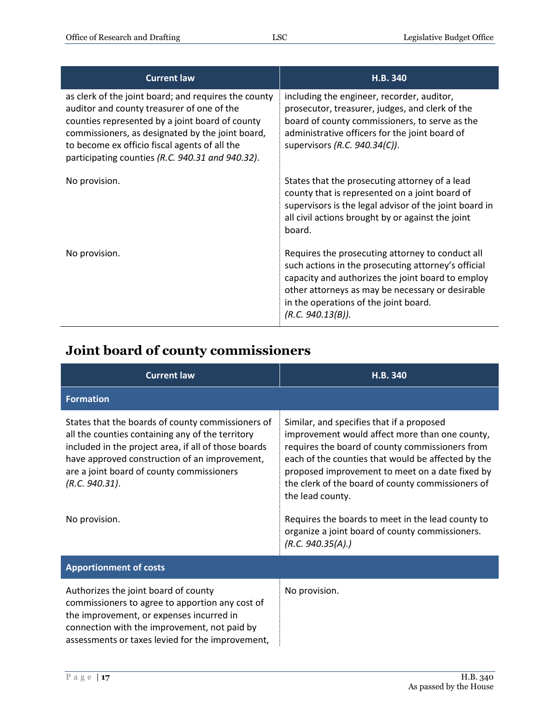| <b>Current law</b>                                                                                                                                                                                                                                                                                             | H.B. 340                                                                                                                                                                                                                                                                       |
|----------------------------------------------------------------------------------------------------------------------------------------------------------------------------------------------------------------------------------------------------------------------------------------------------------------|--------------------------------------------------------------------------------------------------------------------------------------------------------------------------------------------------------------------------------------------------------------------------------|
| as clerk of the joint board; and requires the county<br>auditor and county treasurer of one of the<br>counties represented by a joint board of county<br>commissioners, as designated by the joint board,<br>to become ex officio fiscal agents of all the<br>participating counties (R.C. 940.31 and 940.32). | including the engineer, recorder, auditor,<br>prosecutor, treasurer, judges, and clerk of the<br>board of county commissioners, to serve as the<br>administrative officers for the joint board of<br>supervisors $(R.C. 940.34(C))$ .                                          |
| No provision.                                                                                                                                                                                                                                                                                                  | States that the prosecuting attorney of a lead<br>county that is represented on a joint board of<br>supervisors is the legal advisor of the joint board in<br>all civil actions brought by or against the joint<br>board.                                                      |
| No provision.                                                                                                                                                                                                                                                                                                  | Requires the prosecuting attorney to conduct all<br>such actions in the prosecuting attorney's official<br>capacity and authorizes the joint board to employ<br>other attorneys as may be necessary or desirable<br>in the operations of the joint board.<br>(R.C. 940.13(B)). |

### <span id="page-16-0"></span>**Joint board of county commissioners**

| <b>Current law</b>                                                                                                                                                                                                                                                                             | H.B. 340                                                                                                                                                                                                                                                                                                                                                                                                                                 |
|------------------------------------------------------------------------------------------------------------------------------------------------------------------------------------------------------------------------------------------------------------------------------------------------|------------------------------------------------------------------------------------------------------------------------------------------------------------------------------------------------------------------------------------------------------------------------------------------------------------------------------------------------------------------------------------------------------------------------------------------|
| <b>Formation</b>                                                                                                                                                                                                                                                                               |                                                                                                                                                                                                                                                                                                                                                                                                                                          |
| States that the boards of county commissioners of<br>all the counties containing any of the territory<br>included in the project area, if all of those boards<br>have approved construction of an improvement,<br>are a joint board of county commissioners<br>(R.C. 940.31).<br>No provision. | Similar, and specifies that if a proposed<br>improvement would affect more than one county,<br>requires the board of county commissioners from<br>each of the counties that would be affected by the<br>proposed improvement to meet on a date fixed by<br>the clerk of the board of county commissioners of<br>the lead county.<br>Requires the boards to meet in the lead county to<br>organize a joint board of county commissioners. |
|                                                                                                                                                                                                                                                                                                | (R.C. 940.35(A).)                                                                                                                                                                                                                                                                                                                                                                                                                        |
| <b>Apportionment of costs</b>                                                                                                                                                                                                                                                                  |                                                                                                                                                                                                                                                                                                                                                                                                                                          |
| Authorizes the joint board of county<br>commissioners to agree to apportion any cost of<br>the improvement, or expenses incurred in<br>connection with the improvement, not paid by<br>assessments or taxes levied for the improvement,                                                        | No provision.                                                                                                                                                                                                                                                                                                                                                                                                                            |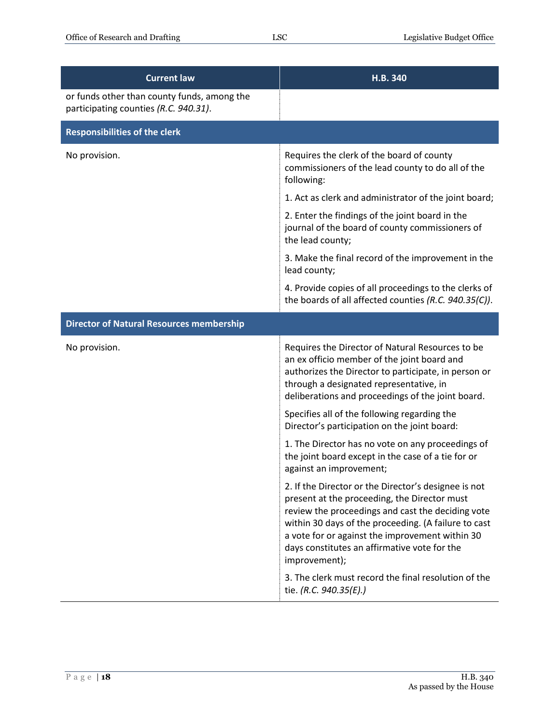| <b>Current law</b>                                                                   | H.B. 340                                                                                                                                                                                                                                                                                                                              |
|--------------------------------------------------------------------------------------|---------------------------------------------------------------------------------------------------------------------------------------------------------------------------------------------------------------------------------------------------------------------------------------------------------------------------------------|
| or funds other than county funds, among the<br>participating counties (R.C. 940.31). |                                                                                                                                                                                                                                                                                                                                       |
| <b>Responsibilities of the clerk</b>                                                 |                                                                                                                                                                                                                                                                                                                                       |
| No provision.                                                                        | Requires the clerk of the board of county<br>commissioners of the lead county to do all of the<br>following:                                                                                                                                                                                                                          |
|                                                                                      | 1. Act as clerk and administrator of the joint board;                                                                                                                                                                                                                                                                                 |
|                                                                                      | 2. Enter the findings of the joint board in the<br>journal of the board of county commissioners of<br>the lead county;                                                                                                                                                                                                                |
|                                                                                      | 3. Make the final record of the improvement in the<br>lead county;                                                                                                                                                                                                                                                                    |
|                                                                                      | 4. Provide copies of all proceedings to the clerks of<br>the boards of all affected counties (R.C. 940.35(C)).                                                                                                                                                                                                                        |
| <b>Director of Natural Resources membership</b>                                      |                                                                                                                                                                                                                                                                                                                                       |
| No provision.                                                                        | Requires the Director of Natural Resources to be<br>an ex officio member of the joint board and<br>authorizes the Director to participate, in person or<br>through a designated representative, in<br>deliberations and proceedings of the joint board.                                                                               |
|                                                                                      | Specifies all of the following regarding the<br>Director's participation on the joint board:                                                                                                                                                                                                                                          |
|                                                                                      | 1. The Director has no vote on any proceedings of<br>the joint board except in the case of a tie for or<br>against an improvement;                                                                                                                                                                                                    |
|                                                                                      | 2. If the Director or the Director's designee is not<br>present at the proceeding, the Director must<br>review the proceedings and cast the deciding vote<br>within 30 days of the proceeding. (A failure to cast<br>a vote for or against the improvement within 30<br>days constitutes an affirmative vote for the<br>improvement); |
|                                                                                      | 3. The clerk must record the final resolution of the<br>tie. (R.C. 940.35(E).)                                                                                                                                                                                                                                                        |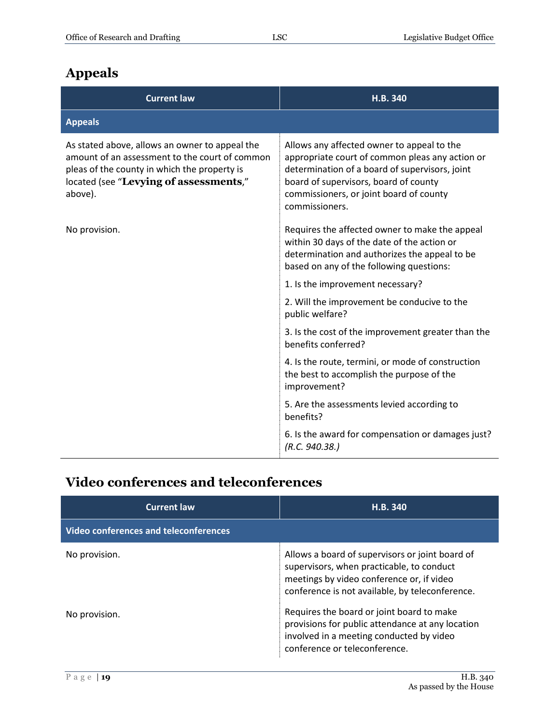### <span id="page-18-0"></span>**Appeals**

| <b>Current law</b>                                                                                                                                                                                    | H.B. 340                                                                                                                                                                                                                                              |
|-------------------------------------------------------------------------------------------------------------------------------------------------------------------------------------------------------|-------------------------------------------------------------------------------------------------------------------------------------------------------------------------------------------------------------------------------------------------------|
| <b>Appeals</b>                                                                                                                                                                                        |                                                                                                                                                                                                                                                       |
| As stated above, allows an owner to appeal the<br>amount of an assessment to the court of common<br>pleas of the county in which the property is<br>located (see "Levying of assessments,"<br>above). | Allows any affected owner to appeal to the<br>appropriate court of common pleas any action or<br>determination of a board of supervisors, joint<br>board of supervisors, board of county<br>commissioners, or joint board of county<br>commissioners. |
| No provision.                                                                                                                                                                                         | Requires the affected owner to make the appeal<br>within 30 days of the date of the action or<br>determination and authorizes the appeal to be<br>based on any of the following questions:                                                            |
|                                                                                                                                                                                                       | 1. Is the improvement necessary?                                                                                                                                                                                                                      |
|                                                                                                                                                                                                       | 2. Will the improvement be conducive to the<br>public welfare?                                                                                                                                                                                        |
|                                                                                                                                                                                                       | 3. Is the cost of the improvement greater than the<br>benefits conferred?                                                                                                                                                                             |
|                                                                                                                                                                                                       | 4. Is the route, termini, or mode of construction<br>the best to accomplish the purpose of the<br>improvement?                                                                                                                                        |
|                                                                                                                                                                                                       | 5. Are the assessments levied according to<br>benefits?                                                                                                                                                                                               |
|                                                                                                                                                                                                       | 6. Is the award for compensation or damages just?<br>(R.C. 940.38.)                                                                                                                                                                                   |

### <span id="page-18-1"></span>**Video conferences and teleconferences**

| <b>Current law</b>                           | H.B. 340                                                                                                                                                                                     |
|----------------------------------------------|----------------------------------------------------------------------------------------------------------------------------------------------------------------------------------------------|
| <b>Video conferences and teleconferences</b> |                                                                                                                                                                                              |
| No provision.                                | Allows a board of supervisors or joint board of<br>supervisors, when practicable, to conduct<br>meetings by video conference or, if video<br>conference is not available, by teleconference. |
| No provision.                                | Requires the board or joint board to make<br>provisions for public attendance at any location<br>involved in a meeting conducted by video<br>conference or teleconference.                   |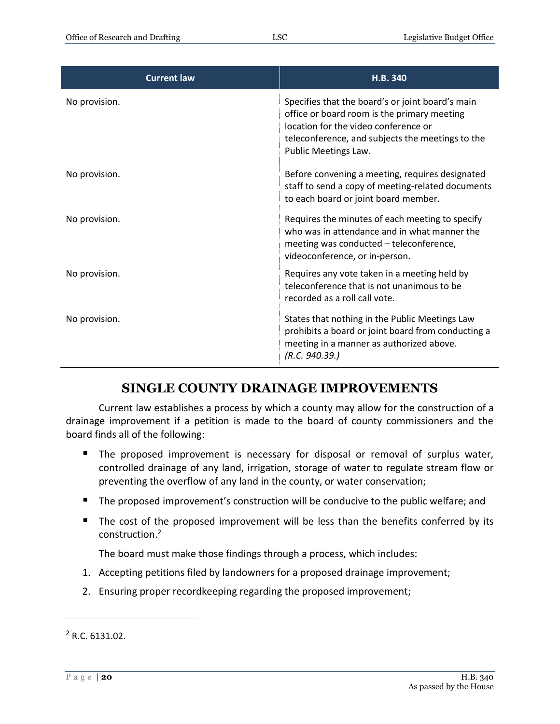| <b>Current law</b> | <b>H.B. 340</b>                                                                                                                                                                                                     |
|--------------------|---------------------------------------------------------------------------------------------------------------------------------------------------------------------------------------------------------------------|
| No provision.      | Specifies that the board's or joint board's main<br>office or board room is the primary meeting<br>location for the video conference or<br>teleconference, and subjects the meetings to the<br>Public Meetings Law. |
| No provision.      | Before convening a meeting, requires designated<br>staff to send a copy of meeting-related documents<br>to each board or joint board member.                                                                        |
| No provision.      | Requires the minutes of each meeting to specify<br>who was in attendance and in what manner the<br>meeting was conducted - teleconference,<br>videoconference, or in-person.                                        |
| No provision.      | Requires any vote taken in a meeting held by<br>teleconference that is not unanimous to be<br>recorded as a roll call vote.                                                                                         |
| No provision.      | States that nothing in the Public Meetings Law<br>prohibits a board or joint board from conducting a<br>meeting in a manner as authorized above.<br>(R.C. 940.39.)                                                  |

#### **SINGLE COUNTY DRAINAGE IMPROVEMENTS**

<span id="page-19-0"></span>Current law establishes a process by which a county may allow for the construction of a drainage improvement if a petition is made to the board of county commissioners and the board finds all of the following:

- The proposed improvement is necessary for disposal or removal of surplus water, controlled drainage of any land, irrigation, storage of water to regulate stream flow or preventing the overflow of any land in the county, or water conservation;
- The proposed improvement's construction will be conducive to the public welfare; and
- The cost of the proposed improvement will be less than the benefits conferred by its construction.<sup>2</sup>

The board must make those findings through a process, which includes:

- 1. Accepting petitions filed by landowners for a proposed drainage improvement;
- 2. Ensuring proper recordkeeping regarding the proposed improvement;

 $\overline{a}$ 

<sup>2</sup> R.C. 6131.02.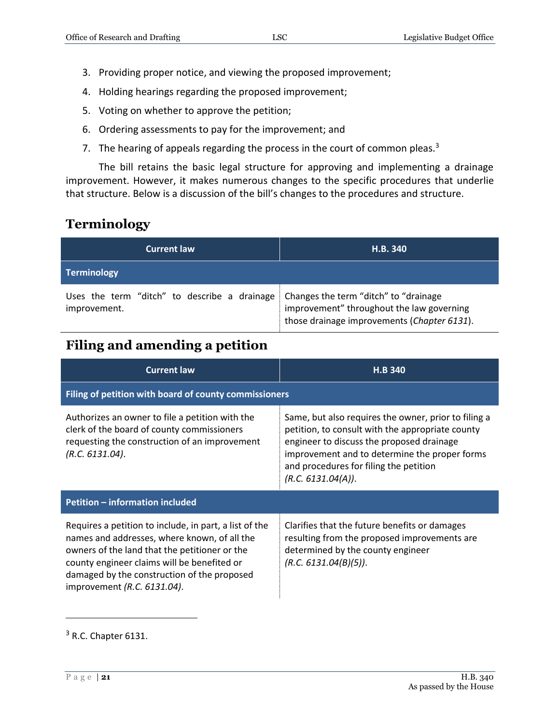- 3. Providing proper notice, and viewing the proposed improvement;
- 4. Holding hearings regarding the proposed improvement;
- 5. Voting on whether to approve the petition;
- 6. Ordering assessments to pay for the improvement; and
- 7. The hearing of appeals regarding the process in the court of common pleas. $3$

The bill retains the basic legal structure for approving and implementing a drainage improvement. However, it makes numerous changes to the specific procedures that underlie that structure. Below is a discussion of the bill's changes to the procedures and structure.

#### <span id="page-20-0"></span>**Terminology**

| <b>Current law</b>                                           | H.B. 340                                                                                                                          |
|--------------------------------------------------------------|-----------------------------------------------------------------------------------------------------------------------------------|
| Terminology                                                  |                                                                                                                                   |
| Uses the term "ditch" to describe a drainage<br>improvement. | Changes the term "ditch" to "drainage<br>improvement" throughout the law governing<br>those drainage improvements (Chapter 6131). |

#### <span id="page-20-1"></span>**Filing and amending a petition**

| <b>Current law</b>                                                                                                                                                                                                                                                                   | <b>H.B 340</b>                                                                                                                                                                                                                                                         |  |
|--------------------------------------------------------------------------------------------------------------------------------------------------------------------------------------------------------------------------------------------------------------------------------------|------------------------------------------------------------------------------------------------------------------------------------------------------------------------------------------------------------------------------------------------------------------------|--|
| Filing of petition with board of county commissioners                                                                                                                                                                                                                                |                                                                                                                                                                                                                                                                        |  |
| Authorizes an owner to file a petition with the<br>clerk of the board of county commissioners<br>requesting the construction of an improvement<br>(R.C. 6131.04).                                                                                                                    | Same, but also requires the owner, prior to filing a<br>petition, to consult with the appropriate county<br>engineer to discuss the proposed drainage<br>improvement and to determine the proper forms<br>and procedures for filing the petition<br>(R.C. 6131.04(A)). |  |
| Petition - information included                                                                                                                                                                                                                                                      |                                                                                                                                                                                                                                                                        |  |
| Requires a petition to include, in part, a list of the<br>names and addresses, where known, of all the<br>owners of the land that the petitioner or the<br>county engineer claims will be benefited or<br>damaged by the construction of the proposed<br>improvement (R.C. 6131.04). | Clarifies that the future benefits or damages<br>resulting from the proposed improvements are<br>determined by the county engineer<br>(R.C. 6131.04(B)(5)).                                                                                                            |  |

 $3$  R.C. Chapter 6131.

 $\overline{a}$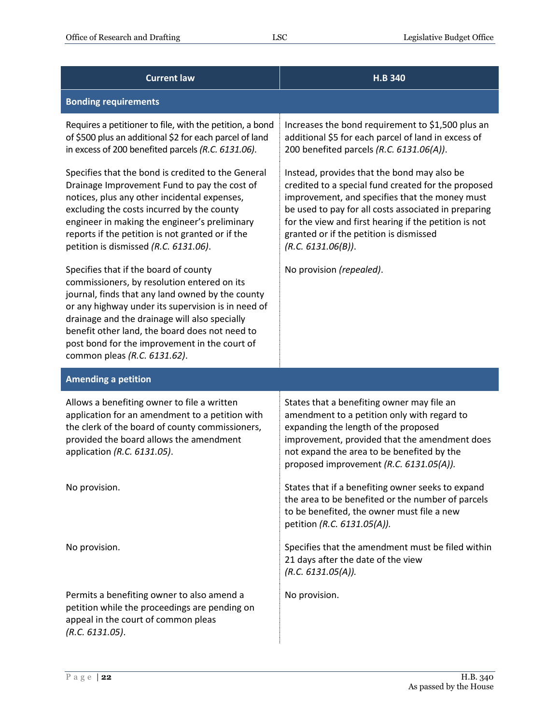| <b>Current law</b>                                                                                                                                                                                                                                                                                                                                                                 | <b>H.B 340</b>                                                                                                                                                                                                                                                                                                                         |
|------------------------------------------------------------------------------------------------------------------------------------------------------------------------------------------------------------------------------------------------------------------------------------------------------------------------------------------------------------------------------------|----------------------------------------------------------------------------------------------------------------------------------------------------------------------------------------------------------------------------------------------------------------------------------------------------------------------------------------|
| <b>Bonding requirements</b>                                                                                                                                                                                                                                                                                                                                                        |                                                                                                                                                                                                                                                                                                                                        |
| Requires a petitioner to file, with the petition, a bond<br>of \$500 plus an additional \$2 for each parcel of land<br>in excess of 200 benefited parcels (R.C. 6131.06).                                                                                                                                                                                                          | Increases the bond requirement to \$1,500 plus an<br>additional \$5 for each parcel of land in excess of<br>200 benefited parcels (R.C. 6131.06(A)).                                                                                                                                                                                   |
| Specifies that the bond is credited to the General<br>Drainage Improvement Fund to pay the cost of<br>notices, plus any other incidental expenses,<br>excluding the costs incurred by the county<br>engineer in making the engineer's preliminary<br>reports if the petition is not granted or if the<br>petition is dismissed (R.C. 6131.06).                                     | Instead, provides that the bond may also be<br>credited to a special fund created for the proposed<br>improvement, and specifies that the money must<br>be used to pay for all costs associated in preparing<br>for the view and first hearing if the petition is not<br>granted or if the petition is dismissed<br>(R.C. 6131.06(B)). |
| Specifies that if the board of county<br>commissioners, by resolution entered on its<br>journal, finds that any land owned by the county<br>or any highway under its supervision is in need of<br>drainage and the drainage will also specially<br>benefit other land, the board does not need to<br>post bond for the improvement in the court of<br>common pleas (R.C. 6131.62). | No provision (repealed).                                                                                                                                                                                                                                                                                                               |
| <b>Amending a petition</b>                                                                                                                                                                                                                                                                                                                                                         |                                                                                                                                                                                                                                                                                                                                        |
| Allows a benefiting owner to file a written<br>application for an amendment to a petition with<br>the clerk of the board of county commissioners,<br>provided the board allows the amendment<br>application (R.C. 6131.05).                                                                                                                                                        | States that a benefiting owner may file an<br>amendment to a petition only with regard to<br>expanding the length of the proposed<br>improvement, provided that the amendment does<br>not expand the area to be benefited by the<br>proposed improvement (R.C. 6131.05(A)).                                                            |
| No provision.                                                                                                                                                                                                                                                                                                                                                                      | States that if a benefiting owner seeks to expand<br>the area to be benefited or the number of parcels<br>to be benefited, the owner must file a new<br>petition (R.C. 6131.05(A)).                                                                                                                                                    |
| No provision.                                                                                                                                                                                                                                                                                                                                                                      | Specifies that the amendment must be filed within<br>21 days after the date of the view<br>(R.C. 6131.05(A)).                                                                                                                                                                                                                          |
| Permits a benefiting owner to also amend a<br>petition while the proceedings are pending on<br>appeal in the court of common pleas<br>(R.C. 6131.05).                                                                                                                                                                                                                              | No provision.                                                                                                                                                                                                                                                                                                                          |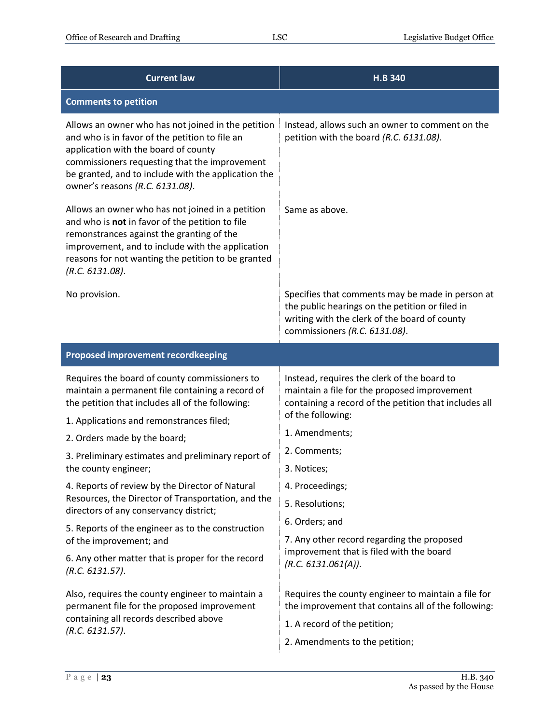| <b>Current law</b>                                                                                                                                                                                                                                                                      | <b>H.B 340</b>                                                                                                                                                                        |
|-----------------------------------------------------------------------------------------------------------------------------------------------------------------------------------------------------------------------------------------------------------------------------------------|---------------------------------------------------------------------------------------------------------------------------------------------------------------------------------------|
| <b>Comments to petition</b>                                                                                                                                                                                                                                                             |                                                                                                                                                                                       |
| Allows an owner who has not joined in the petition<br>and who is in favor of the petition to file an<br>application with the board of county<br>commissioners requesting that the improvement<br>be granted, and to include with the application the<br>owner's reasons (R.C. 6131.08). | Instead, allows such an owner to comment on the<br>petition with the board (R.C. 6131.08).                                                                                            |
| Allows an owner who has not joined in a petition<br>and who is not in favor of the petition to file<br>remonstrances against the granting of the<br>improvement, and to include with the application<br>reasons for not wanting the petition to be granted<br>(R.C. 6131.08).           | Same as above.                                                                                                                                                                        |
| No provision.                                                                                                                                                                                                                                                                           | Specifies that comments may be made in person at<br>the public hearings on the petition or filed in<br>writing with the clerk of the board of county<br>commissioners (R.C. 6131.08). |
| <b>Proposed improvement recordkeeping</b>                                                                                                                                                                                                                                               |                                                                                                                                                                                       |
| Requires the board of county commissioners to<br>maintain a permanent file containing a record of<br>the petition that includes all of the following:<br>1. Applications and remonstrances filed;                                                                                       | Instead, requires the clerk of the board to<br>maintain a file for the proposed improvement<br>containing a record of the petition that includes all<br>of the following:             |
| 2. Orders made by the board;                                                                                                                                                                                                                                                            | 1. Amendments;                                                                                                                                                                        |
| 3. Preliminary estimates and preliminary report of                                                                                                                                                                                                                                      | 2. Comments;                                                                                                                                                                          |
| the county engineer;                                                                                                                                                                                                                                                                    | 3. Notices;                                                                                                                                                                           |
| 4. Reports of review by the Director of Natural<br>Resources, the Director of Transportation, and the                                                                                                                                                                                   | 4. Proceedings;                                                                                                                                                                       |
| directors of any conservancy district;                                                                                                                                                                                                                                                  | 5. Resolutions;                                                                                                                                                                       |
| 5. Reports of the engineer as to the construction<br>of the improvement; and                                                                                                                                                                                                            | 6. Orders; and<br>7. Any other record regarding the proposed                                                                                                                          |
| 6. Any other matter that is proper for the record<br>(R.C. 6131.57).                                                                                                                                                                                                                    | improvement that is filed with the board<br>(R.C. 6131.061(A)).                                                                                                                       |
| Also, requires the county engineer to maintain a<br>permanent file for the proposed improvement<br>containing all records described above<br>(R.C. 6131.57).                                                                                                                            | Requires the county engineer to maintain a file for<br>the improvement that contains all of the following:<br>1. A record of the petition;                                            |
|                                                                                                                                                                                                                                                                                         | 2. Amendments to the petition;                                                                                                                                                        |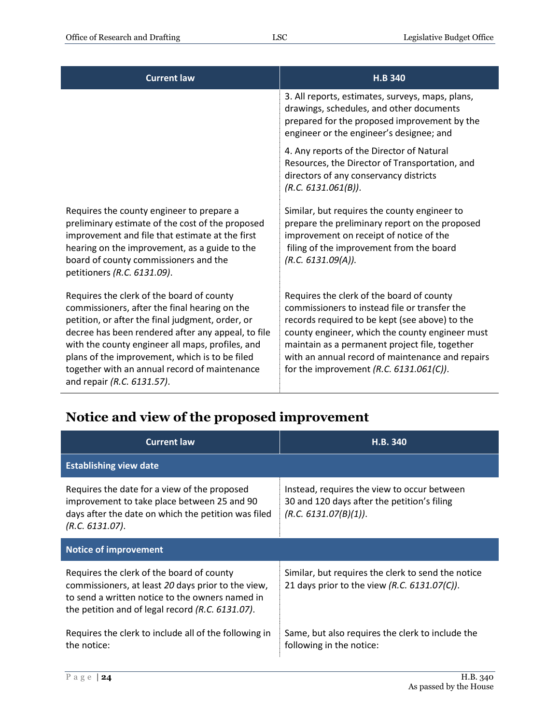| <b>Current law</b>                                                                                                                                                                                                                                                                                                                                                                        | <b>H.B 340</b>                                                                                                                                                                                                                                                                                                                                     |
|-------------------------------------------------------------------------------------------------------------------------------------------------------------------------------------------------------------------------------------------------------------------------------------------------------------------------------------------------------------------------------------------|----------------------------------------------------------------------------------------------------------------------------------------------------------------------------------------------------------------------------------------------------------------------------------------------------------------------------------------------------|
|                                                                                                                                                                                                                                                                                                                                                                                           | 3. All reports, estimates, surveys, maps, plans,<br>drawings, schedules, and other documents<br>prepared for the proposed improvement by the<br>engineer or the engineer's designee; and                                                                                                                                                           |
|                                                                                                                                                                                                                                                                                                                                                                                           | 4. Any reports of the Director of Natural<br>Resources, the Director of Transportation, and<br>directors of any conservancy districts<br>(R.C. 6131.061(B)).                                                                                                                                                                                       |
| Requires the county engineer to prepare a<br>preliminary estimate of the cost of the proposed<br>improvement and file that estimate at the first<br>hearing on the improvement, as a guide to the<br>board of county commissioners and the<br>petitioners (R.C. 6131.09).                                                                                                                 | Similar, but requires the county engineer to<br>prepare the preliminary report on the proposed<br>improvement on receipt of notice of the<br>filing of the improvement from the board<br>(R.C. 6131.09(A)).                                                                                                                                        |
| Requires the clerk of the board of county<br>commissioners, after the final hearing on the<br>petition, or after the final judgment, order, or<br>decree has been rendered after any appeal, to file<br>with the county engineer all maps, profiles, and<br>plans of the improvement, which is to be filed<br>together with an annual record of maintenance<br>and repair (R.C. 6131.57). | Requires the clerk of the board of county<br>commissioners to instead file or transfer the<br>records required to be kept (see above) to the<br>county engineer, which the county engineer must<br>maintain as a permanent project file, together<br>with an annual record of maintenance and repairs<br>for the improvement $(R.C. 6131.061(C)).$ |

### <span id="page-23-0"></span>**Notice and view of the proposed improvement**

| <b>Current law</b>                                                                                                                                                                                     | H.B. 340                                                                                                            |
|--------------------------------------------------------------------------------------------------------------------------------------------------------------------------------------------------------|---------------------------------------------------------------------------------------------------------------------|
| <b>Establishing view date</b>                                                                                                                                                                          |                                                                                                                     |
| Requires the date for a view of the proposed<br>improvement to take place between 25 and 90<br>days after the date on which the petition was filed<br>(R.C. 6131.07).                                  | Instead, requires the view to occur between<br>30 and 120 days after the petition's filing<br>(R.C. 6131.07(B)(1)). |
| <b>Notice of improvement</b>                                                                                                                                                                           |                                                                                                                     |
| Requires the clerk of the board of county<br>commissioners, at least 20 days prior to the view,<br>to send a written notice to the owners named in<br>the petition and of legal record (R.C. 6131.07). | Similar, but requires the clerk to send the notice<br>21 days prior to the view (R.C. 6131.07(C)).                  |
| Requires the clerk to include all of the following in<br>the notice:                                                                                                                                   | Same, but also requires the clerk to include the<br>following in the notice:                                        |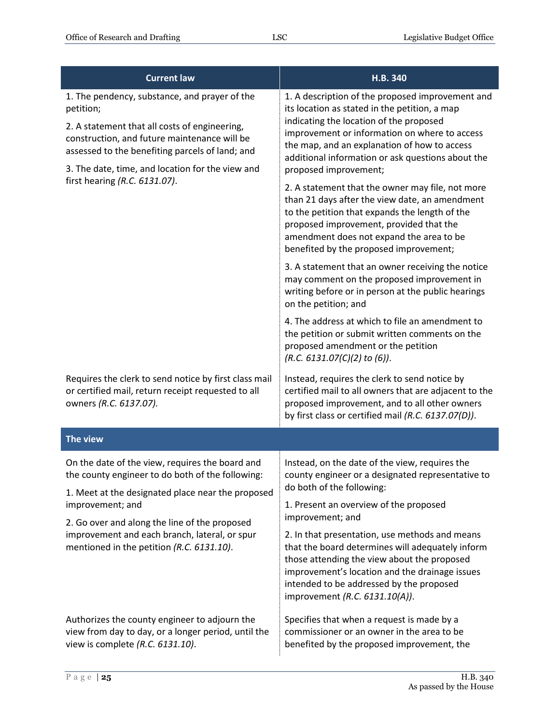| <b>Current law</b>                                                                                                                                                                                             | H.B. 340                                                                                                                                                                                                                                                                                                       |
|----------------------------------------------------------------------------------------------------------------------------------------------------------------------------------------------------------------|----------------------------------------------------------------------------------------------------------------------------------------------------------------------------------------------------------------------------------------------------------------------------------------------------------------|
| 1. The pendency, substance, and prayer of the<br>petition;<br>2. A statement that all costs of engineering,<br>construction, and future maintenance will be<br>assessed to the benefiting parcels of land; and | 1. A description of the proposed improvement and<br>its location as stated in the petition, a map<br>indicating the location of the proposed<br>improvement or information on where to access<br>the map, and an explanation of how to access<br>additional information or ask questions about the             |
| 3. The date, time, and location for the view and<br>first hearing (R.C. 6131.07).                                                                                                                              | proposed improvement;<br>2. A statement that the owner may file, not more<br>than 21 days after the view date, an amendment<br>to the petition that expands the length of the<br>proposed improvement, provided that the<br>amendment does not expand the area to be<br>benefited by the proposed improvement; |
|                                                                                                                                                                                                                | 3. A statement that an owner receiving the notice<br>may comment on the proposed improvement in<br>writing before or in person at the public hearings<br>on the petition; and                                                                                                                                  |
|                                                                                                                                                                                                                | 4. The address at which to file an amendment to<br>the petition or submit written comments on the<br>proposed amendment or the petition<br>$(R.C. 6131.07(C)(2)$ to (6)).                                                                                                                                      |
| Requires the clerk to send notice by first class mail<br>or certified mail, return receipt requested to all<br>owners (R.C. 6137.07).                                                                          | Instead, requires the clerk to send notice by<br>certified mail to all owners that are adjacent to the<br>proposed improvement, and to all other owners<br>by first class or certified mail (R.C. 6137.07(D)).                                                                                                 |
| The view                                                                                                                                                                                                       |                                                                                                                                                                                                                                                                                                                |
| On the date of the view, requires the board and<br>the county engineer to do both of the following:<br>1. Meet at the designated place near the proposed                                                       | Instead, on the date of the view, requires the<br>county engineer or a designated representative to<br>do both of the following:                                                                                                                                                                               |
| improvement; and<br>2. Go over and along the line of the proposed<br>improvement and each branch, lateral, or spur<br>mentioned in the petition (R.C. 6131.10).                                                | 1. Present an overview of the proposed<br>improvement; and                                                                                                                                                                                                                                                     |
|                                                                                                                                                                                                                | 2. In that presentation, use methods and means<br>that the board determines will adequately inform<br>those attending the view about the proposed<br>improvement's location and the drainage issues<br>intended to be addressed by the proposed<br>improvement (R.C. 6131.10(A)).                              |
| Authorizes the county engineer to adjourn the<br>view from day to day, or a longer period, until the<br>view is complete (R.C. 6131.10).                                                                       | Specifies that when a request is made by a<br>commissioner or an owner in the area to be<br>benefited by the proposed improvement, the                                                                                                                                                                         |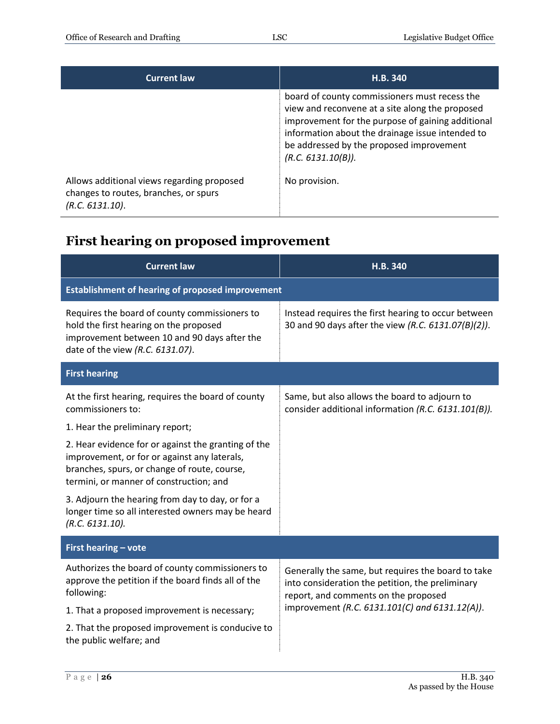| <b>Current law</b>                                                                                     | H.B. 340                                                                                                                                                                                                                                                                    |
|--------------------------------------------------------------------------------------------------------|-----------------------------------------------------------------------------------------------------------------------------------------------------------------------------------------------------------------------------------------------------------------------------|
|                                                                                                        | board of county commissioners must recess the<br>view and reconvene at a site along the proposed<br>improvement for the purpose of gaining additional<br>information about the drainage issue intended to<br>be addressed by the proposed improvement<br>(R.C. 6131.10(B)). |
| Allows additional views regarding proposed<br>changes to routes, branches, or spurs<br>(R.C. 6131.10). | No provision.                                                                                                                                                                                                                                                               |

### <span id="page-25-0"></span>**First hearing on proposed improvement**

| <b>Current law</b>                                                                                                                                                                             | <b>H.B. 340</b>                                                                                                                                |
|------------------------------------------------------------------------------------------------------------------------------------------------------------------------------------------------|------------------------------------------------------------------------------------------------------------------------------------------------|
| <b>Establishment of hearing of proposed improvement</b>                                                                                                                                        |                                                                                                                                                |
| Requires the board of county commissioners to<br>hold the first hearing on the proposed<br>improvement between 10 and 90 days after the<br>date of the view (R.C. 6131.07).                    | Instead requires the first hearing to occur between<br>30 and 90 days after the view (R.C. 6131.07(B)(2)).                                     |
| <b>First hearing</b>                                                                                                                                                                           |                                                                                                                                                |
| At the first hearing, requires the board of county<br>commissioners to:                                                                                                                        | Same, but also allows the board to adjourn to<br>consider additional information (R.C. 6131.101(B)).                                           |
| 1. Hear the preliminary report;                                                                                                                                                                |                                                                                                                                                |
| 2. Hear evidence for or against the granting of the<br>improvement, or for or against any laterals,<br>branches, spurs, or change of route, course,<br>termini, or manner of construction; and |                                                                                                                                                |
| 3. Adjourn the hearing from day to day, or for a<br>longer time so all interested owners may be heard<br>(R.C. 6131.10).                                                                       |                                                                                                                                                |
| First hearing - vote                                                                                                                                                                           |                                                                                                                                                |
| Authorizes the board of county commissioners to<br>approve the petition if the board finds all of the<br>following:                                                                            | Generally the same, but requires the board to take<br>into consideration the petition, the preliminary<br>report, and comments on the proposed |
| 1. That a proposed improvement is necessary;                                                                                                                                                   | improvement (R.C. 6131.101(C) and 6131.12(A)).                                                                                                 |
| 2. That the proposed improvement is conducive to<br>the public welfare; and                                                                                                                    |                                                                                                                                                |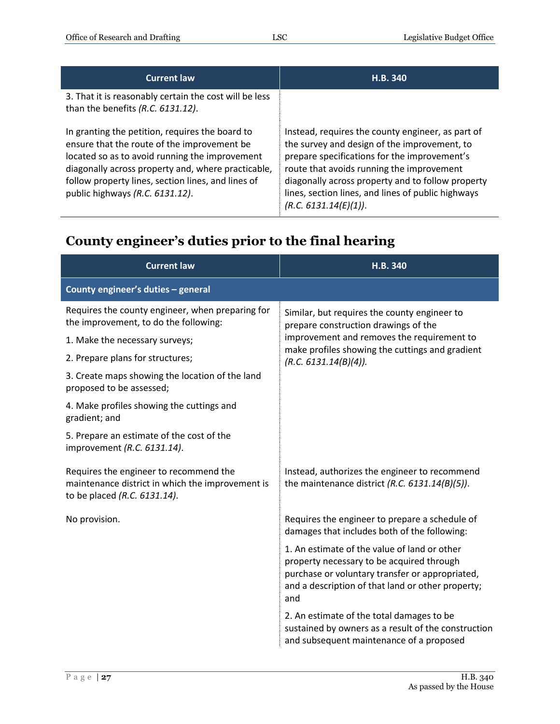| <b>Current law</b>                                                                                                                                                                                                                                                                              | H.B. 340                                                                                                                                                                                                                                                                                                                           |
|-------------------------------------------------------------------------------------------------------------------------------------------------------------------------------------------------------------------------------------------------------------------------------------------------|------------------------------------------------------------------------------------------------------------------------------------------------------------------------------------------------------------------------------------------------------------------------------------------------------------------------------------|
| 3. That it is reasonably certain the cost will be less<br>than the benefits (R.C. 6131.12).                                                                                                                                                                                                     |                                                                                                                                                                                                                                                                                                                                    |
| In granting the petition, requires the board to<br>ensure that the route of the improvement be<br>located so as to avoid running the improvement<br>diagonally across property and, where practicable,<br>follow property lines, section lines, and lines of<br>public highways (R.C. 6131.12). | Instead, requires the county engineer, as part of<br>the survey and design of the improvement, to<br>prepare specifications for the improvement's<br>route that avoids running the improvement<br>diagonally across property and to follow property<br>lines, section lines, and lines of public highways<br>(R.C. 6131.14(E)(1)). |

# <span id="page-26-0"></span>**County engineer's duties prior to the final hearing**

| <b>Current law</b>                                                                                                         | H.B. 340                                                                                                                                                                                                 |
|----------------------------------------------------------------------------------------------------------------------------|----------------------------------------------------------------------------------------------------------------------------------------------------------------------------------------------------------|
| County engineer's duties - general                                                                                         |                                                                                                                                                                                                          |
| Requires the county engineer, when preparing for<br>the improvement, to do the following:                                  | Similar, but requires the county engineer to<br>prepare construction drawings of the                                                                                                                     |
| 1. Make the necessary surveys;                                                                                             | improvement and removes the requirement to                                                                                                                                                               |
| 2. Prepare plans for structures;                                                                                           | make profiles showing the cuttings and gradient<br>(R.C. 6131.14(B)(4)).                                                                                                                                 |
| 3. Create maps showing the location of the land<br>proposed to be assessed;                                                |                                                                                                                                                                                                          |
| 4. Make profiles showing the cuttings and<br>gradient; and                                                                 |                                                                                                                                                                                                          |
| 5. Prepare an estimate of the cost of the<br>improvement (R.C. 6131.14).                                                   |                                                                                                                                                                                                          |
| Requires the engineer to recommend the<br>maintenance district in which the improvement is<br>to be placed (R.C. 6131.14). | Instead, authorizes the engineer to recommend<br>the maintenance district (R.C. $6131.14(B)(5)$ ).                                                                                                       |
| No provision.                                                                                                              | Requires the engineer to prepare a schedule of<br>damages that includes both of the following:                                                                                                           |
|                                                                                                                            | 1. An estimate of the value of land or other<br>property necessary to be acquired through<br>purchase or voluntary transfer or appropriated,<br>and a description of that land or other property;<br>and |
|                                                                                                                            | 2. An estimate of the total damages to be<br>sustained by owners as a result of the construction<br>and subsequent maintenance of a proposed                                                             |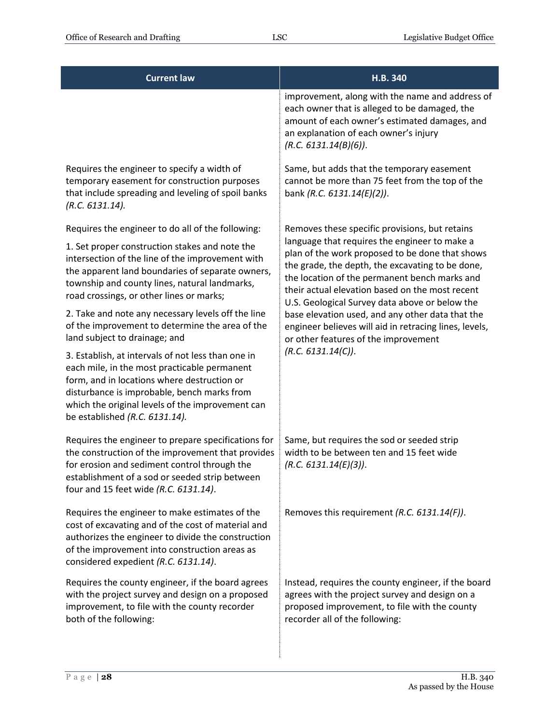| <b>Current law</b>                                                                                                                                                                                                                                                                     | H.B. 340                                                                                                                                                                                                                                                                                                   |
|----------------------------------------------------------------------------------------------------------------------------------------------------------------------------------------------------------------------------------------------------------------------------------------|------------------------------------------------------------------------------------------------------------------------------------------------------------------------------------------------------------------------------------------------------------------------------------------------------------|
|                                                                                                                                                                                                                                                                                        | improvement, along with the name and address of<br>each owner that is alleged to be damaged, the<br>amount of each owner's estimated damages, and<br>an explanation of each owner's injury<br>(R.C. 6131.14(B)(6)).                                                                                        |
| Requires the engineer to specify a width of<br>temporary easement for construction purposes<br>that include spreading and leveling of spoil banks<br>(R.C. 6131.14).                                                                                                                   | Same, but adds that the temporary easement<br>cannot be more than 75 feet from the top of the<br>bank (R.C. 6131.14(E)(2)).                                                                                                                                                                                |
| Requires the engineer to do all of the following:                                                                                                                                                                                                                                      | Removes these specific provisions, but retains                                                                                                                                                                                                                                                             |
| 1. Set proper construction stakes and note the<br>intersection of the line of the improvement with<br>the apparent land boundaries of separate owners,<br>township and county lines, natural landmarks,<br>road crossings, or other lines or marks;                                    | language that requires the engineer to make a<br>plan of the work proposed to be done that shows<br>the grade, the depth, the excavating to be done,<br>the location of the permanent bench marks and<br>their actual elevation based on the most recent<br>U.S. Geological Survey data above or below the |
| 2. Take and note any necessary levels off the line<br>of the improvement to determine the area of the<br>land subject to drainage; and                                                                                                                                                 | base elevation used, and any other data that the<br>engineer believes will aid in retracing lines, levels,<br>or other features of the improvement                                                                                                                                                         |
| 3. Establish, at intervals of not less than one in<br>each mile, in the most practicable permanent<br>form, and in locations where destruction or<br>disturbance is improbable, bench marks from<br>which the original levels of the improvement can<br>be established (R.C. 6131.14). | (R.C. 6131.14(C)).                                                                                                                                                                                                                                                                                         |
| Requires the engineer to prepare specifications for<br>the construction of the improvement that provides<br>for erosion and sediment control through the<br>establishment of a sod or seeded strip between<br>four and 15 feet wide (R.C. 6131.14).                                    | Same, but requires the sod or seeded strip<br>width to be between ten and 15 feet wide<br>(R.C. 6131.14(E)(3)).                                                                                                                                                                                            |
| Requires the engineer to make estimates of the<br>cost of excavating and of the cost of material and<br>authorizes the engineer to divide the construction<br>of the improvement into construction areas as<br>considered expedient (R.C. 6131.14).                                    | Removes this requirement (R.C. 6131.14(F)).                                                                                                                                                                                                                                                                |
| Requires the county engineer, if the board agrees<br>with the project survey and design on a proposed<br>improvement, to file with the county recorder<br>both of the following:                                                                                                       | Instead, requires the county engineer, if the board<br>agrees with the project survey and design on a<br>proposed improvement, to file with the county<br>recorder all of the following:                                                                                                                   |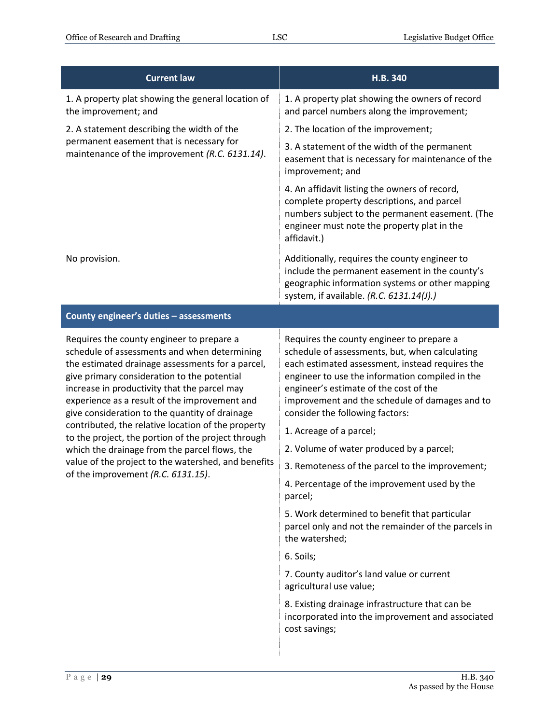| <b>Current law</b>                                                                                                                                                                                                                                                                                                                                                                                    | H.B. 340                                                                                                                                                                                                                                                                                                                                                    |
|-------------------------------------------------------------------------------------------------------------------------------------------------------------------------------------------------------------------------------------------------------------------------------------------------------------------------------------------------------------------------------------------------------|-------------------------------------------------------------------------------------------------------------------------------------------------------------------------------------------------------------------------------------------------------------------------------------------------------------------------------------------------------------|
| 1. A property plat showing the general location of<br>the improvement; and                                                                                                                                                                                                                                                                                                                            | 1. A property plat showing the owners of record<br>and parcel numbers along the improvement;                                                                                                                                                                                                                                                                |
| 2. A statement describing the width of the                                                                                                                                                                                                                                                                                                                                                            | 2. The location of the improvement;                                                                                                                                                                                                                                                                                                                         |
| permanent easement that is necessary for<br>maintenance of the improvement (R.C. 6131.14).                                                                                                                                                                                                                                                                                                            | 3. A statement of the width of the permanent<br>easement that is necessary for maintenance of the<br>improvement; and                                                                                                                                                                                                                                       |
|                                                                                                                                                                                                                                                                                                                                                                                                       | 4. An affidavit listing the owners of record,<br>complete property descriptions, and parcel<br>numbers subject to the permanent easement. (The<br>engineer must note the property plat in the<br>affidavit.)                                                                                                                                                |
| No provision.                                                                                                                                                                                                                                                                                                                                                                                         | Additionally, requires the county engineer to<br>include the permanent easement in the county's<br>geographic information systems or other mapping<br>system, if available. (R.C. 6131.14(J).)                                                                                                                                                              |
| County engineer's duties - assessments                                                                                                                                                                                                                                                                                                                                                                |                                                                                                                                                                                                                                                                                                                                                             |
| Requires the county engineer to prepare a<br>schedule of assessments and when determining<br>the estimated drainage assessments for a parcel,<br>give primary consideration to the potential<br>increase in productivity that the parcel may<br>experience as a result of the improvement and<br>give consideration to the quantity of drainage<br>contributed, the relative location of the property | Requires the county engineer to prepare a<br>schedule of assessments, but, when calculating<br>each estimated assessment, instead requires the<br>engineer to use the information compiled in the<br>engineer's estimate of the cost of the<br>improvement and the schedule of damages and to<br>consider the following factors:<br>1. Acreage of a parcel; |
| to the project, the portion of the project through<br>which the drainage from the parcel flows, the                                                                                                                                                                                                                                                                                                   | 2. Volume of water produced by a parcel;                                                                                                                                                                                                                                                                                                                    |
| value of the project to the watershed, and benefits                                                                                                                                                                                                                                                                                                                                                   | 3. Remoteness of the parcel to the improvement;                                                                                                                                                                                                                                                                                                             |
| of the improvement (R.C. 6131.15).                                                                                                                                                                                                                                                                                                                                                                    | 4. Percentage of the improvement used by the<br>parcel;                                                                                                                                                                                                                                                                                                     |
|                                                                                                                                                                                                                                                                                                                                                                                                       | 5. Work determined to benefit that particular<br>parcel only and not the remainder of the parcels in<br>the watershed;                                                                                                                                                                                                                                      |
|                                                                                                                                                                                                                                                                                                                                                                                                       | 6. Soils;                                                                                                                                                                                                                                                                                                                                                   |
|                                                                                                                                                                                                                                                                                                                                                                                                       | 7. County auditor's land value or current<br>agricultural use value;                                                                                                                                                                                                                                                                                        |
|                                                                                                                                                                                                                                                                                                                                                                                                       | 8. Existing drainage infrastructure that can be<br>incorporated into the improvement and associated<br>cost savings;                                                                                                                                                                                                                                        |
|                                                                                                                                                                                                                                                                                                                                                                                                       |                                                                                                                                                                                                                                                                                                                                                             |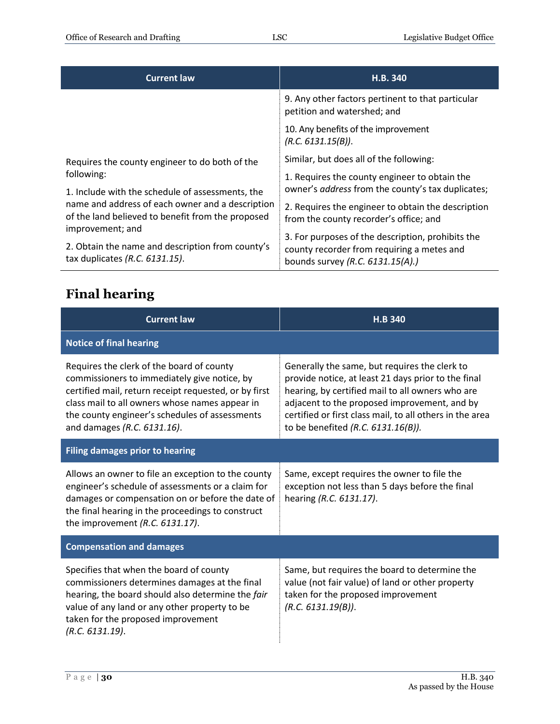| <b>Current law</b>                                                                                    | H.B. 340                                                                                     |
|-------------------------------------------------------------------------------------------------------|----------------------------------------------------------------------------------------------|
|                                                                                                       | 9. Any other factors pertinent to that particular<br>petition and watershed; and             |
|                                                                                                       | 10. Any benefits of the improvement<br>(R.C. 6131.15(B)).                                    |
| Requires the county engineer to do both of the                                                        | Similar, but does all of the following:                                                      |
| following:                                                                                            | 1. Requires the county engineer to obtain the                                                |
| 1. Include with the schedule of assessments, the                                                      | owner's address from the county's tax duplicates;                                            |
| name and address of each owner and a description<br>of the land believed to benefit from the proposed | 2. Requires the engineer to obtain the description<br>from the county recorder's office; and |
| improvement; and                                                                                      | 3. For purposes of the description, prohibits the                                            |
| 2. Obtain the name and description from county's                                                      | county recorder from requiring a metes and                                                   |
| tax duplicates $(R.C. 6131.15)$ .                                                                     | bounds survey (R.C. 6131.15(A).)                                                             |

### <span id="page-29-0"></span>**Final hearing**

| <b>Current law</b>                                                                                                                                                                                                                                                                    | <b>H.B 340</b>                                                                                                                                                                                                                                                                                             |  |
|---------------------------------------------------------------------------------------------------------------------------------------------------------------------------------------------------------------------------------------------------------------------------------------|------------------------------------------------------------------------------------------------------------------------------------------------------------------------------------------------------------------------------------------------------------------------------------------------------------|--|
| <b>Notice of final hearing</b>                                                                                                                                                                                                                                                        |                                                                                                                                                                                                                                                                                                            |  |
| Requires the clerk of the board of county<br>commissioners to immediately give notice, by<br>certified mail, return receipt requested, or by first<br>class mail to all owners whose names appear in<br>the county engineer's schedules of assessments<br>and damages (R.C. 6131.16). | Generally the same, but requires the clerk to<br>provide notice, at least 21 days prior to the final<br>hearing, by certified mail to all owners who are<br>adjacent to the proposed improvement, and by<br>certified or first class mail, to all others in the area<br>to be benefited (R.C. 6131.16(B)). |  |
| <b>Filing damages prior to hearing</b>                                                                                                                                                                                                                                                |                                                                                                                                                                                                                                                                                                            |  |
| Allows an owner to file an exception to the county<br>engineer's schedule of assessments or a claim for<br>damages or compensation on or before the date of<br>the final hearing in the proceedings to construct<br>the improvement $(R.C. 6131.17)$ .                                | Same, except requires the owner to file the<br>exception not less than 5 days before the final<br>hearing (R.C. 6131.17).                                                                                                                                                                                  |  |
| <b>Compensation and damages</b>                                                                                                                                                                                                                                                       |                                                                                                                                                                                                                                                                                                            |  |
| Specifies that when the board of county<br>commissioners determines damages at the final<br>hearing, the board should also determine the fair<br>value of any land or any other property to be<br>taken for the proposed improvement<br>(R.C. 6131.19).                               | Same, but requires the board to determine the<br>value (not fair value) of land or other property<br>taken for the proposed improvement<br>(R.C. 6131.19(B)).                                                                                                                                              |  |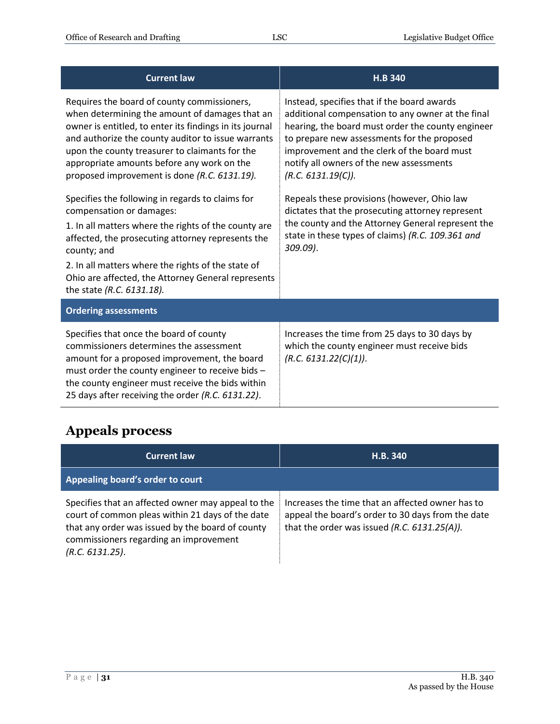| <b>Current law</b>                                                                                                                                                                                                                                                                                                                                             | <b>H.B 340</b>                                                                                                                                                                                                                                                                                                        |
|----------------------------------------------------------------------------------------------------------------------------------------------------------------------------------------------------------------------------------------------------------------------------------------------------------------------------------------------------------------|-----------------------------------------------------------------------------------------------------------------------------------------------------------------------------------------------------------------------------------------------------------------------------------------------------------------------|
| Requires the board of county commissioners,<br>when determining the amount of damages that an<br>owner is entitled, to enter its findings in its journal<br>and authorize the county auditor to issue warrants<br>upon the county treasurer to claimants for the<br>appropriate amounts before any work on the<br>proposed improvement is done (R.C. 6131.19). | Instead, specifies that if the board awards<br>additional compensation to any owner at the final<br>hearing, the board must order the county engineer<br>to prepare new assessments for the proposed<br>improvement and the clerk of the board must<br>notify all owners of the new assessments<br>(R.C. 6131.19(C)). |
| Specifies the following in regards to claims for<br>compensation or damages:<br>1. In all matters where the rights of the county are<br>affected, the prosecuting attorney represents the<br>county; and<br>2. In all matters where the rights of the state of<br>Ohio are affected, the Attorney General represents<br>the state (R.C. 6131.18).              | Repeals these provisions (however, Ohio law<br>dictates that the prosecuting attorney represent<br>the county and the Attorney General represent the<br>state in these types of claims) (R.C. 109.361 and<br>309.09).                                                                                                 |
| <b>Ordering assessments</b>                                                                                                                                                                                                                                                                                                                                    |                                                                                                                                                                                                                                                                                                                       |
| Specifies that once the board of county<br>commissioners determines the assessment<br>amount for a proposed improvement, the board<br>must order the county engineer to receive bids -<br>the county engineer must receive the bids within<br>25 days after receiving the order (R.C. 6131.22).                                                                | Increases the time from 25 days to 30 days by<br>which the county engineer must receive bids<br>(R.C. 6131.22(C)(1)).                                                                                                                                                                                                 |

# <span id="page-30-0"></span>**Appeals process**

| <b>Current law</b>                                                                                                                                                                                                      | H.B. 340                                                                                                                                              |
|-------------------------------------------------------------------------------------------------------------------------------------------------------------------------------------------------------------------------|-------------------------------------------------------------------------------------------------------------------------------------------------------|
| Appealing board's order to court                                                                                                                                                                                        |                                                                                                                                                       |
| Specifies that an affected owner may appeal to the<br>court of common pleas within 21 days of the date<br>that any order was issued by the board of county<br>commissioners regarding an improvement<br>(R.C. 6131.25). | Increases the time that an affected owner has to<br>appeal the board's order to 30 days from the date<br>that the order was issued (R.C. 6131.25(A)). |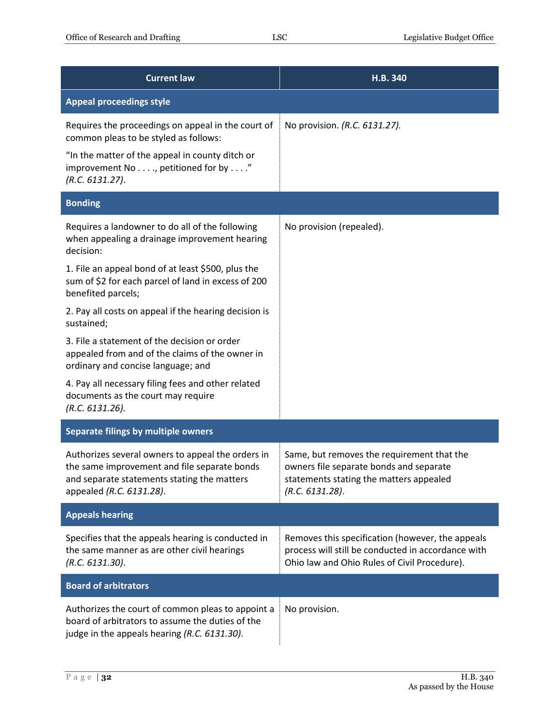| <b>Current law</b>                                                                                                                                                           | H.B. 340                                                                                                                                               |
|------------------------------------------------------------------------------------------------------------------------------------------------------------------------------|--------------------------------------------------------------------------------------------------------------------------------------------------------|
| <b>Appeal proceedings style</b>                                                                                                                                              |                                                                                                                                                        |
| Requires the proceedings on appeal in the court of<br>common pleas to be styled as follows:                                                                                  | No provision. (R.C. 6131.27).                                                                                                                          |
| "In the matter of the appeal in county ditch or<br>improvement No, petitioned for by"<br>(R.C. 6131.27).                                                                     |                                                                                                                                                        |
| <b>Bonding</b>                                                                                                                                                               |                                                                                                                                                        |
| Requires a landowner to do all of the following<br>when appealing a drainage improvement hearing<br>decision:                                                                | No provision (repealed).                                                                                                                               |
| 1. File an appeal bond of at least \$500, plus the<br>sum of \$2 for each parcel of land in excess of 200<br>benefited parcels;                                              |                                                                                                                                                        |
| 2. Pay all costs on appeal if the hearing decision is<br>sustained;                                                                                                          |                                                                                                                                                        |
| 3. File a statement of the decision or order<br>appealed from and of the claims of the owner in<br>ordinary and concise language; and                                        |                                                                                                                                                        |
| 4. Pay all necessary filing fees and other related<br>documents as the court may require<br>(R.C. 6131.26).                                                                  |                                                                                                                                                        |
| Separate filings by multiple owners                                                                                                                                          |                                                                                                                                                        |
| Authorizes several owners to appeal the orders in<br>the same improvement and file separate bonds<br>and separate statements stating the matters<br>appealed (R.C. 6131.28). | Same, but removes the requirement that the<br>owners file separate bonds and separate<br>statements stating the matters appealed<br>(R.C. 6131.28).    |
| <b>Appeals hearing</b>                                                                                                                                                       |                                                                                                                                                        |
| Specifies that the appeals hearing is conducted in<br>the same manner as are other civil hearings<br>(R.C. 6131.30).                                                         | Removes this specification (however, the appeals<br>process will still be conducted in accordance with<br>Ohio law and Ohio Rules of Civil Procedure). |
| <b>Board of arbitrators</b>                                                                                                                                                  |                                                                                                                                                        |
| Authorizes the court of common pleas to appoint a<br>board of arbitrators to assume the duties of the<br>judge in the appeals hearing (R.C. 6131.30).                        | No provision.                                                                                                                                          |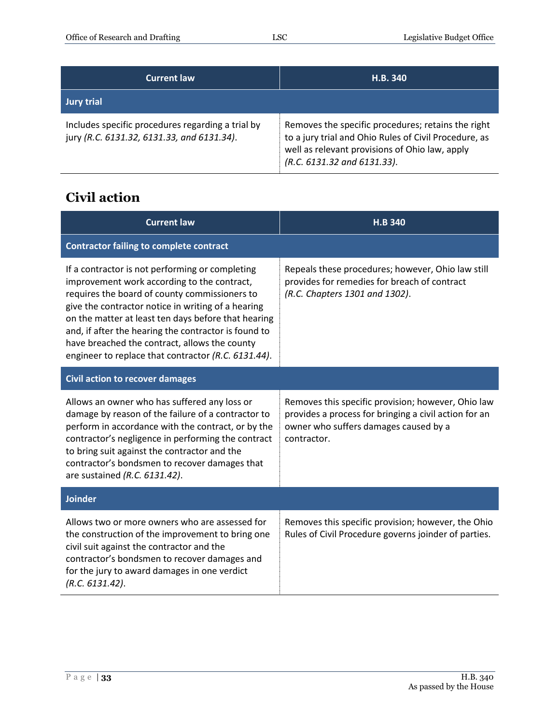| <b>Current law</b>                                                                              | H.B. 340                                                                                                                                                                                     |
|-------------------------------------------------------------------------------------------------|----------------------------------------------------------------------------------------------------------------------------------------------------------------------------------------------|
| <b>Jury trial</b>                                                                               |                                                                                                                                                                                              |
| Includes specific procedures regarding a trial by<br>jury (R.C. 6131.32, 6131.33, and 6131.34). | Removes the specific procedures; retains the right<br>to a jury trial and Ohio Rules of Civil Procedure, as<br>well as relevant provisions of Ohio law, apply<br>(R.C. 6131.32 and 6131.33). |

### <span id="page-32-0"></span>**Civil action**

| Current law                                                                                                                                                                                                                                                                                                                                                                                                                  | <b>H.B 340</b>                                                                                                                                                      |  |
|------------------------------------------------------------------------------------------------------------------------------------------------------------------------------------------------------------------------------------------------------------------------------------------------------------------------------------------------------------------------------------------------------------------------------|---------------------------------------------------------------------------------------------------------------------------------------------------------------------|--|
| <b>Contractor failing to complete contract</b>                                                                                                                                                                                                                                                                                                                                                                               |                                                                                                                                                                     |  |
| If a contractor is not performing or completing<br>improvement work according to the contract,<br>requires the board of county commissioners to<br>give the contractor notice in writing of a hearing<br>on the matter at least ten days before that hearing<br>and, if after the hearing the contractor is found to<br>have breached the contract, allows the county<br>engineer to replace that contractor (R.C. 6131.44). | Repeals these procedures; however, Ohio law still<br>provides for remedies for breach of contract<br>(R.C. Chapters 1301 and 1302).                                 |  |
| <b>Civil action to recover damages</b>                                                                                                                                                                                                                                                                                                                                                                                       |                                                                                                                                                                     |  |
| Allows an owner who has suffered any loss or<br>damage by reason of the failure of a contractor to<br>perform in accordance with the contract, or by the<br>contractor's negligence in performing the contract<br>to bring suit against the contractor and the<br>contractor's bondsmen to recover damages that<br>are sustained (R.C. 6131.42).                                                                             | Removes this specific provision; however, Ohio law<br>provides a process for bringing a civil action for an<br>owner who suffers damages caused by a<br>contractor. |  |
| <b>Joinder</b>                                                                                                                                                                                                                                                                                                                                                                                                               |                                                                                                                                                                     |  |
| Allows two or more owners who are assessed for<br>the construction of the improvement to bring one<br>civil suit against the contractor and the<br>contractor's bondsmen to recover damages and<br>for the jury to award damages in one verdict<br>(R.C. 6131.42).                                                                                                                                                           | Removes this specific provision; however, the Ohio<br>Rules of Civil Procedure governs joinder of parties.                                                          |  |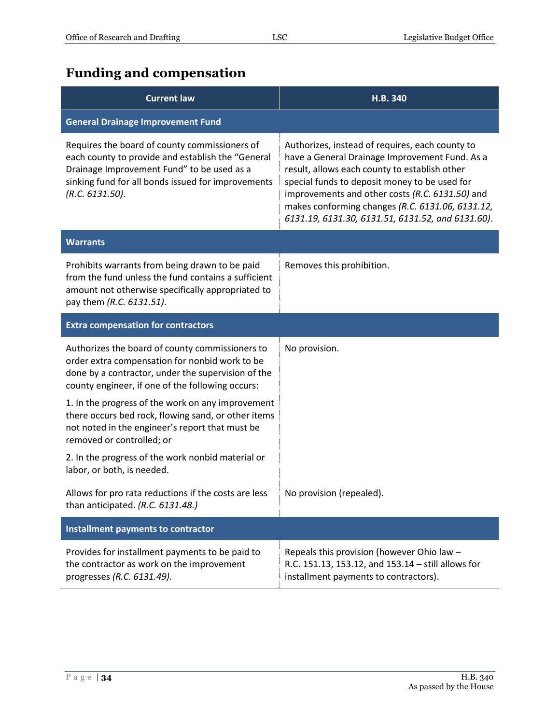### <span id="page-33-0"></span>**Funding and compensation**

| <b>Current law</b>                                                                                                                                                                                                        | H.B. 340                                                                                                                                                                                                                                                                                                                                                        |
|---------------------------------------------------------------------------------------------------------------------------------------------------------------------------------------------------------------------------|-----------------------------------------------------------------------------------------------------------------------------------------------------------------------------------------------------------------------------------------------------------------------------------------------------------------------------------------------------------------|
| <b>General Drainage Improvement Fund</b>                                                                                                                                                                                  |                                                                                                                                                                                                                                                                                                                                                                 |
| Requires the board of county commissioners of<br>each county to provide and establish the "General<br>Drainage Improvement Fund" to be used as a<br>sinking fund for all bonds issued for improvements<br>(R.C. 6131.50). | Authorizes, instead of requires, each county to<br>have a General Drainage Improvement Fund. As a<br>result, allows each county to establish other<br>special funds to deposit money to be used for<br>improvements and other costs (R.C. 6131.50) and<br>makes conforming changes (R.C. 6131.06, 6131.12,<br>6131.19, 6131.30, 6131.51, 6131.52, and 6131.60). |
| <b>Warrants</b>                                                                                                                                                                                                           |                                                                                                                                                                                                                                                                                                                                                                 |
| Prohibits warrants from being drawn to be paid<br>from the fund unless the fund contains a sufficient<br>amount not otherwise specifically appropriated to<br>pay them (R.C. 6131.51).                                    | Removes this prohibition.                                                                                                                                                                                                                                                                                                                                       |
| <b>Extra compensation for contractors</b>                                                                                                                                                                                 |                                                                                                                                                                                                                                                                                                                                                                 |
| Authorizes the board of county commissioners to<br>order extra compensation for nonbid work to be<br>done by a contractor, under the supervision of the<br>county engineer, if one of the following occurs:               | No provision.                                                                                                                                                                                                                                                                                                                                                   |
| 1. In the progress of the work on any improvement<br>there occurs bed rock, flowing sand, or other items<br>not noted in the engineer's report that must be<br>removed or controlled; or                                  |                                                                                                                                                                                                                                                                                                                                                                 |
| 2. In the progress of the work nonbid material or<br>labor, or both, is needed.                                                                                                                                           |                                                                                                                                                                                                                                                                                                                                                                 |
| Allows for pro rata reductions if the costs are less<br>than anticipated. (R.C. 6131.48.)                                                                                                                                 | No provision (repealed).                                                                                                                                                                                                                                                                                                                                        |
| Installment payments to contractor                                                                                                                                                                                        |                                                                                                                                                                                                                                                                                                                                                                 |
| Provides for installment payments to be paid to<br>the contractor as work on the improvement<br>progresses (R.C. 6131.49).                                                                                                | Repeals this provision (however Ohio law -<br>R.C. 151.13, 153.12, and 153.14 - still allows for<br>installment payments to contractors).                                                                                                                                                                                                                       |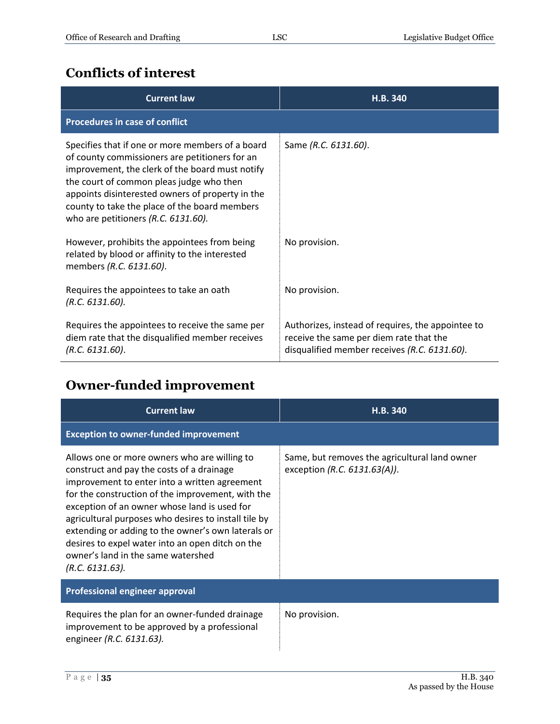#### <span id="page-34-0"></span>**Conflicts of interest**

| <b>Current law</b>                                                                                                                                                                                                                                                                                                                            | H.B. 340                                                                                                                                     |
|-----------------------------------------------------------------------------------------------------------------------------------------------------------------------------------------------------------------------------------------------------------------------------------------------------------------------------------------------|----------------------------------------------------------------------------------------------------------------------------------------------|
| <b>Procedures in case of conflict</b>                                                                                                                                                                                                                                                                                                         |                                                                                                                                              |
| Specifies that if one or more members of a board<br>of county commissioners are petitioners for an<br>improvement, the clerk of the board must notify<br>the court of common pleas judge who then<br>appoints disinterested owners of property in the<br>county to take the place of the board members<br>who are petitioners (R.C. 6131.60). | Same (R.C. 6131.60).                                                                                                                         |
| However, prohibits the appointees from being<br>related by blood or affinity to the interested<br>members (R.C. 6131.60).                                                                                                                                                                                                                     | No provision.                                                                                                                                |
| Requires the appointees to take an oath<br>(R.C. 6131.60).                                                                                                                                                                                                                                                                                    | No provision.                                                                                                                                |
| Requires the appointees to receive the same per<br>diem rate that the disqualified member receives<br>(R.C. 6131.60).                                                                                                                                                                                                                         | Authorizes, instead of requires, the appointee to<br>receive the same per diem rate that the<br>disqualified member receives (R.C. 6131.60). |

### <span id="page-34-1"></span>**Owner-funded improvement**

| <b>Current law</b>                                                                                                                                                                                                                                                                                                                                                                                                                                                         | H.B. 340                                                                      |  |
|----------------------------------------------------------------------------------------------------------------------------------------------------------------------------------------------------------------------------------------------------------------------------------------------------------------------------------------------------------------------------------------------------------------------------------------------------------------------------|-------------------------------------------------------------------------------|--|
| <b>Exception to owner-funded improvement</b>                                                                                                                                                                                                                                                                                                                                                                                                                               |                                                                               |  |
| Allows one or more owners who are willing to<br>construct and pay the costs of a drainage<br>improvement to enter into a written agreement<br>for the construction of the improvement, with the<br>exception of an owner whose land is used for<br>agricultural purposes who desires to install tile by<br>extending or adding to the owner's own laterals or<br>desires to expel water into an open ditch on the<br>owner's land in the same watershed<br>(R.C. 6131.63). | Same, but removes the agricultural land owner<br>exception (R.C. 6131.63(A)). |  |
| <b>Professional engineer approval</b>                                                                                                                                                                                                                                                                                                                                                                                                                                      |                                                                               |  |
| Requires the plan for an owner-funded drainage<br>improvement to be approved by a professional<br>engineer (R.C. 6131.63).                                                                                                                                                                                                                                                                                                                                                 | No provision.                                                                 |  |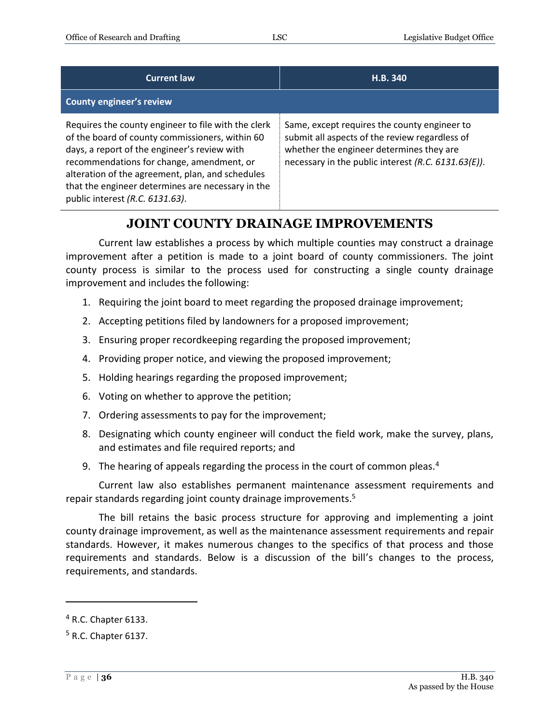| <b>Current law</b>                                                                                                                                                                                                                                                                                                                              | H.B. 340                                                                                                                                                                                          |
|-------------------------------------------------------------------------------------------------------------------------------------------------------------------------------------------------------------------------------------------------------------------------------------------------------------------------------------------------|---------------------------------------------------------------------------------------------------------------------------------------------------------------------------------------------------|
| <b>County engineer's review</b>                                                                                                                                                                                                                                                                                                                 |                                                                                                                                                                                                   |
| Requires the county engineer to file with the clerk<br>of the board of county commissioners, within 60<br>days, a report of the engineer's review with<br>recommendations for change, amendment, or<br>alteration of the agreement, plan, and schedules<br>that the engineer determines are necessary in the<br>public interest (R.C. 6131.63). | Same, except requires the county engineer to<br>submit all aspects of the review regardless of<br>whether the engineer determines they are<br>necessary in the public interest (R.C. 6131.63(E)). |

#### **JOINT COUNTY DRAINAGE IMPROVEMENTS**

<span id="page-35-0"></span>Current law establishes a process by which multiple counties may construct a drainage improvement after a petition is made to a joint board of county commissioners. The joint county process is similar to the process used for constructing a single county drainage improvement and includes the following:

- 1. Requiring the joint board to meet regarding the proposed drainage improvement;
- 2. Accepting petitions filed by landowners for a proposed improvement;
- 3. Ensuring proper recordkeeping regarding the proposed improvement;
- 4. Providing proper notice, and viewing the proposed improvement;
- 5. Holding hearings regarding the proposed improvement;
- 6. Voting on whether to approve the petition;
- 7. Ordering assessments to pay for the improvement;
- 8. Designating which county engineer will conduct the field work, make the survey, plans, and estimates and file required reports; and
- 9. The hearing of appeals regarding the process in the court of common pleas.<sup>4</sup>

Current law also establishes permanent maintenance assessment requirements and repair standards regarding joint county drainage improvements.<sup>5</sup>

The bill retains the basic process structure for approving and implementing a joint county drainage improvement, as well as the maintenance assessment requirements and repair standards. However, it makes numerous changes to the specifics of that process and those requirements and standards. Below is a discussion of the bill's changes to the process, requirements, and standards.

 $\overline{a}$ 

 $4$  R.C. Chapter 6133.

<sup>5</sup> R.C. Chapter 6137.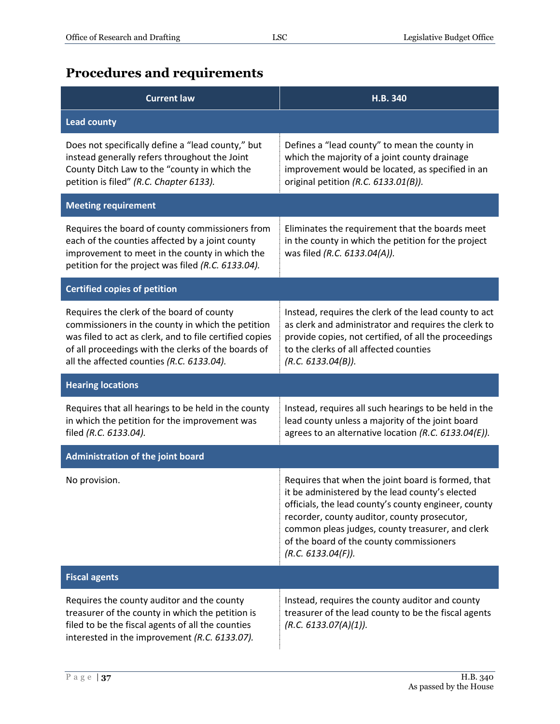### <span id="page-36-0"></span>**Procedures and requirements**

| <b>Current law</b>                                                                                                                                                                                                                                            | H.B. 340                                                                                                                                                                                                                                                                                                                            |
|---------------------------------------------------------------------------------------------------------------------------------------------------------------------------------------------------------------------------------------------------------------|-------------------------------------------------------------------------------------------------------------------------------------------------------------------------------------------------------------------------------------------------------------------------------------------------------------------------------------|
| <b>Lead county</b>                                                                                                                                                                                                                                            |                                                                                                                                                                                                                                                                                                                                     |
| Does not specifically define a "lead county," but<br>instead generally refers throughout the Joint<br>County Ditch Law to the "county in which the<br>petition is filed" (R.C. Chapter 6133).                                                                 | Defines a "lead county" to mean the county in<br>which the majority of a joint county drainage<br>improvement would be located, as specified in an<br>original petition (R.C. 6133.01(B)).                                                                                                                                          |
| <b>Meeting requirement</b>                                                                                                                                                                                                                                    |                                                                                                                                                                                                                                                                                                                                     |
| Requires the board of county commissioners from<br>each of the counties affected by a joint county<br>improvement to meet in the county in which the<br>petition for the project was filed (R.C. 6133.04).                                                    | Eliminates the requirement that the boards meet<br>in the county in which the petition for the project<br>was filed (R.C. 6133.04(A)).                                                                                                                                                                                              |
| <b>Certified copies of petition</b>                                                                                                                                                                                                                           |                                                                                                                                                                                                                                                                                                                                     |
| Requires the clerk of the board of county<br>commissioners in the county in which the petition<br>was filed to act as clerk, and to file certified copies<br>of all proceedings with the clerks of the boards of<br>all the affected counties (R.C. 6133.04). | Instead, requires the clerk of the lead county to act<br>as clerk and administrator and requires the clerk to<br>provide copies, not certified, of all the proceedings<br>to the clerks of all affected counties<br>(R.C. 6133.04(B)).                                                                                              |
| <b>Hearing locations</b>                                                                                                                                                                                                                                      |                                                                                                                                                                                                                                                                                                                                     |
| Requires that all hearings to be held in the county<br>in which the petition for the improvement was<br>filed (R.C. 6133.04).                                                                                                                                 | Instead, requires all such hearings to be held in the<br>lead county unless a majority of the joint board<br>agrees to an alternative location (R.C. 6133.04(E)).                                                                                                                                                                   |
| Administration of the joint board                                                                                                                                                                                                                             |                                                                                                                                                                                                                                                                                                                                     |
| No provision.                                                                                                                                                                                                                                                 | Requires that when the joint board is formed, that<br>it be administered by the lead county's elected<br>officials, the lead county's county engineer, county<br>recorder, county auditor, county prosecutor,<br>common pleas judges, county treasurer, and clerk<br>of the board of the county commissioners<br>(R.C. 6133.04(F)). |
| <b>Fiscal agents</b>                                                                                                                                                                                                                                          |                                                                                                                                                                                                                                                                                                                                     |
| Requires the county auditor and the county<br>treasurer of the county in which the petition is<br>filed to be the fiscal agents of all the counties<br>interested in the improvement (R.C. 6133.07).                                                          | Instead, requires the county auditor and county<br>treasurer of the lead county to be the fiscal agents<br>(R.C. 6133.07(A)(1)).                                                                                                                                                                                                    |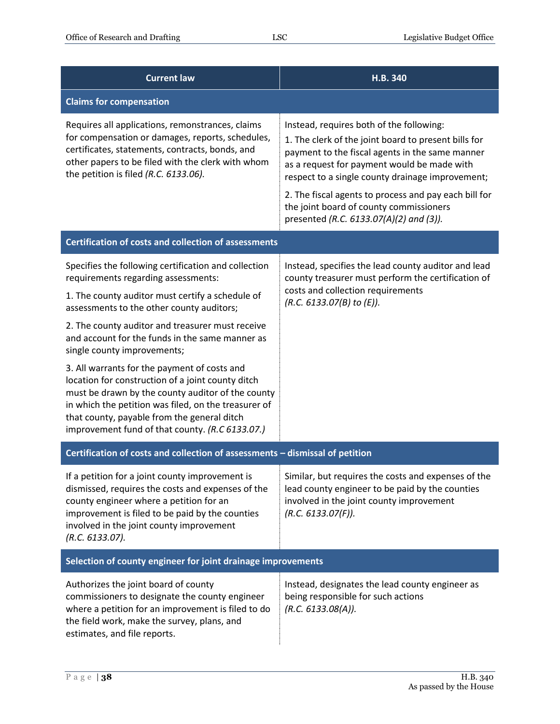| <b>Current law</b>                                                                                                                                                                                                                                                                                                                                                                 | H.B. 340                                                                                                                                                                                                                                                                                                                                                                                              |
|------------------------------------------------------------------------------------------------------------------------------------------------------------------------------------------------------------------------------------------------------------------------------------------------------------------------------------------------------------------------------------|-------------------------------------------------------------------------------------------------------------------------------------------------------------------------------------------------------------------------------------------------------------------------------------------------------------------------------------------------------------------------------------------------------|
| <b>Claims for compensation</b>                                                                                                                                                                                                                                                                                                                                                     |                                                                                                                                                                                                                                                                                                                                                                                                       |
| Requires all applications, remonstrances, claims<br>for compensation or damages, reports, schedules,<br>certificates, statements, contracts, bonds, and<br>other papers to be filed with the clerk with whom<br>the petition is filed (R.C. 6133.06).                                                                                                                              | Instead, requires both of the following:<br>1. The clerk of the joint board to present bills for<br>payment to the fiscal agents in the same manner<br>as a request for payment would be made with<br>respect to a single county drainage improvement;<br>2. The fiscal agents to process and pay each bill for<br>the joint board of county commissioners<br>presented (R.C. 6133.07(A)(2) and (3)). |
| <b>Certification of costs and collection of assessments</b>                                                                                                                                                                                                                                                                                                                        |                                                                                                                                                                                                                                                                                                                                                                                                       |
| Specifies the following certification and collection<br>requirements regarding assessments:<br>1. The county auditor must certify a schedule of<br>assessments to the other county auditors;<br>2. The county auditor and treasurer must receive<br>and account for the funds in the same manner as<br>single county improvements;<br>3. All warrants for the payment of costs and | Instead, specifies the lead county auditor and lead<br>county treasurer must perform the certification of<br>costs and collection requirements<br>(R.C. 6133.07(B) to (E)).                                                                                                                                                                                                                           |
| location for construction of a joint county ditch<br>must be drawn by the county auditor of the county<br>in which the petition was filed, on the treasurer of<br>that county, payable from the general ditch<br>improvement fund of that county. (R.C 6133.07.)                                                                                                                   |                                                                                                                                                                                                                                                                                                                                                                                                       |
| Certification of costs and collection of assessments - dismissal of petition                                                                                                                                                                                                                                                                                                       |                                                                                                                                                                                                                                                                                                                                                                                                       |
| If a petition for a joint county improvement is<br>dismissed, requires the costs and expenses of the<br>county engineer where a petition for an<br>improvement is filed to be paid by the counties<br>involved in the joint county improvement<br>(R.C. 6133.07).                                                                                                                  | Similar, but requires the costs and expenses of the<br>lead county engineer to be paid by the counties<br>involved in the joint county improvement<br>(R.C. 6133.07(F)).                                                                                                                                                                                                                              |
| Selection of county engineer for joint drainage improvements                                                                                                                                                                                                                                                                                                                       |                                                                                                                                                                                                                                                                                                                                                                                                       |
| Authorizes the joint board of county<br>commissioners to designate the county engineer<br>where a petition for an improvement is filed to do<br>the field work, make the survey, plans, and<br>estimates, and file reports.                                                                                                                                                        | Instead, designates the lead county engineer as<br>being responsible for such actions<br>(R.C. 6133.08(A)).                                                                                                                                                                                                                                                                                           |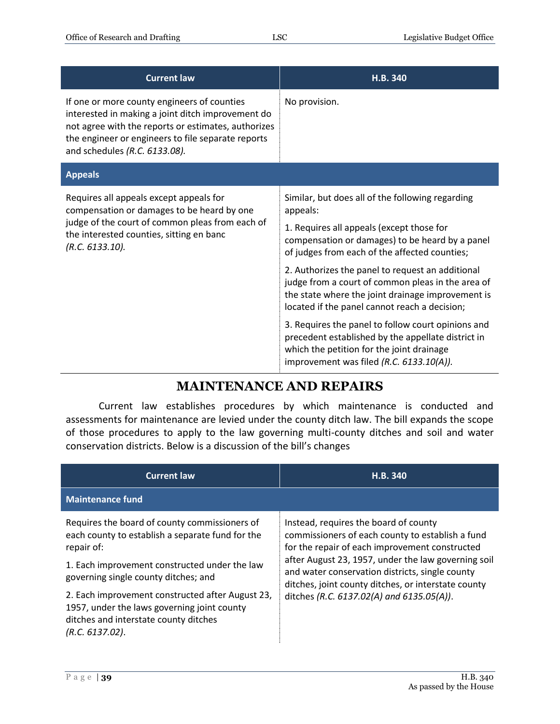| <b>Current law</b>                                                                                                                                                                                                                             | H.B. 340                                                                                                                                                                                                                                                                                                               |
|------------------------------------------------------------------------------------------------------------------------------------------------------------------------------------------------------------------------------------------------|------------------------------------------------------------------------------------------------------------------------------------------------------------------------------------------------------------------------------------------------------------------------------------------------------------------------|
| If one or more county engineers of counties<br>interested in making a joint ditch improvement do<br>not agree with the reports or estimates, authorizes<br>the engineer or engineers to file separate reports<br>and schedules (R.C. 6133.08). | No provision.                                                                                                                                                                                                                                                                                                          |
| <b>Appeals</b>                                                                                                                                                                                                                                 |                                                                                                                                                                                                                                                                                                                        |
| Requires all appeals except appeals for<br>compensation or damages to be heard by one<br>judge of the court of common pleas from each of<br>the interested counties, sitting en banc<br>(R.C. 6133.10).                                        | Similar, but does all of the following regarding<br>appeals:<br>1. Requires all appeals (except those for<br>compensation or damages) to be heard by a panel<br>of judges from each of the affected counties;<br>2. Authorizes the panel to request an additional<br>judge from a court of common pleas in the area of |
|                                                                                                                                                                                                                                                | the state where the joint drainage improvement is<br>located if the panel cannot reach a decision;                                                                                                                                                                                                                     |
|                                                                                                                                                                                                                                                | 3. Requires the panel to follow court opinions and<br>precedent established by the appellate district in<br>which the petition for the joint drainage<br>improvement was filed (R.C. 6133.10(A)).                                                                                                                      |

#### **MAINTENANCE AND REPAIRS**

<span id="page-38-0"></span>Current law establishes procedures by which maintenance is conducted and assessments for maintenance are levied under the county ditch law. The bill expands the scope of those procedures to apply to the law governing multi-county ditches and soil and water conservation districts. Below is a discussion of the bill's changes

| <b>Current law</b>                                                                                                                                          | H.B. 340                                                                                                                                                      |
|-------------------------------------------------------------------------------------------------------------------------------------------------------------|---------------------------------------------------------------------------------------------------------------------------------------------------------------|
| <b>Maintenance fund</b>                                                                                                                                     |                                                                                                                                                               |
| Requires the board of county commissioners of<br>each county to establish a separate fund for the<br>repair of:                                             | Instead, requires the board of county<br>commissioners of each county to establish a fund<br>for the repair of each improvement constructed                   |
| 1. Each improvement constructed under the law<br>governing single county ditches; and                                                                       | after August 23, 1957, under the law governing soil<br>and water conservation districts, single county<br>ditches, joint county ditches, or interstate county |
| 2. Each improvement constructed after August 23,<br>1957, under the laws governing joint county<br>ditches and interstate county ditches<br>(R.C. 6137.02). | ditches (R.C. 6137.02(A) and 6135.05(A)).                                                                                                                     |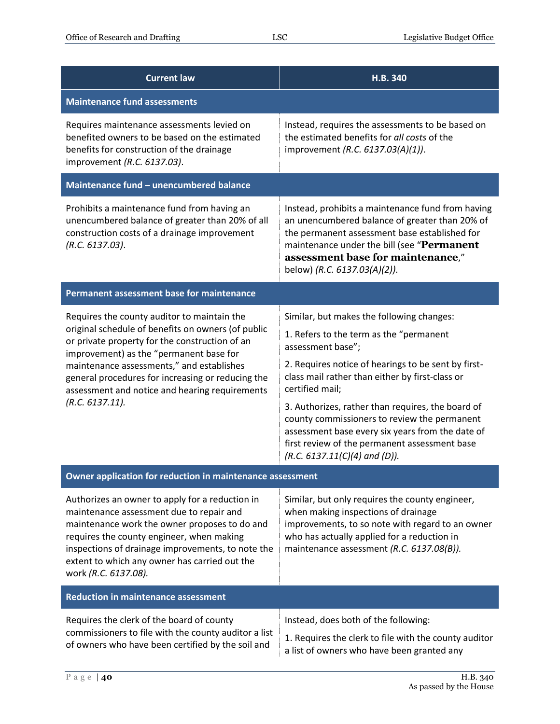| <b>Current law</b>                                                                                                                                                                                                                                                                                                                                                    | H.B. 340                                                                                                                                                                                                                                                                                                                                                                                                                                                                            |  |
|-----------------------------------------------------------------------------------------------------------------------------------------------------------------------------------------------------------------------------------------------------------------------------------------------------------------------------------------------------------------------|-------------------------------------------------------------------------------------------------------------------------------------------------------------------------------------------------------------------------------------------------------------------------------------------------------------------------------------------------------------------------------------------------------------------------------------------------------------------------------------|--|
| <b>Maintenance fund assessments</b>                                                                                                                                                                                                                                                                                                                                   |                                                                                                                                                                                                                                                                                                                                                                                                                                                                                     |  |
| Requires maintenance assessments levied on<br>benefited owners to be based on the estimated<br>benefits for construction of the drainage<br>improvement (R.C. 6137.03).                                                                                                                                                                                               | Instead, requires the assessments to be based on<br>the estimated benefits for all costs of the<br>improvement (R.C. 6137.03(A)(1)).                                                                                                                                                                                                                                                                                                                                                |  |
| Maintenance fund - unencumbered balance                                                                                                                                                                                                                                                                                                                               |                                                                                                                                                                                                                                                                                                                                                                                                                                                                                     |  |
| Prohibits a maintenance fund from having an<br>unencumbered balance of greater than 20% of all<br>construction costs of a drainage improvement<br>(R.C. 6137.03).                                                                                                                                                                                                     | Instead, prohibits a maintenance fund from having<br>an unencumbered balance of greater than 20% of<br>the permanent assessment base established for<br>maintenance under the bill (see "Permanent<br>assessment base for maintenance,"<br>below) (R.C. 6137.03(A)(2)).                                                                                                                                                                                                             |  |
| Permanent assessment base for maintenance                                                                                                                                                                                                                                                                                                                             |                                                                                                                                                                                                                                                                                                                                                                                                                                                                                     |  |
| Requires the county auditor to maintain the<br>original schedule of benefits on owners (of public<br>or private property for the construction of an<br>improvement) as the "permanent base for<br>maintenance assessments," and establishes<br>general procedures for increasing or reducing the<br>assessment and notice and hearing requirements<br>(R.C. 6137.11). | Similar, but makes the following changes:<br>1. Refers to the term as the "permanent<br>assessment base";<br>2. Requires notice of hearings to be sent by first-<br>class mail rather than either by first-class or<br>certified mail;<br>3. Authorizes, rather than requires, the board of<br>county commissioners to review the permanent<br>assessment base every six years from the date of<br>first review of the permanent assessment base<br>$(R.C. 6137.11(C)(4)$ and (D)). |  |
| Owner application for reduction in maintenance assessment                                                                                                                                                                                                                                                                                                             |                                                                                                                                                                                                                                                                                                                                                                                                                                                                                     |  |
| Authorizes an owner to apply for a reduction in<br>maintenance assessment due to repair and<br>maintenance work the owner proposes to do and<br>requires the county engineer, when making<br>inspections of drainage improvements, to note the<br>extent to which any owner has carried out the<br>work (R.C. 6137.08).                                               | Similar, but only requires the county engineer,<br>when making inspections of drainage<br>improvements, to so note with regard to an owner<br>who has actually applied for a reduction in<br>maintenance assessment (R.C. 6137.08(B)).                                                                                                                                                                                                                                              |  |
| <b>Reduction in maintenance assessment</b>                                                                                                                                                                                                                                                                                                                            |                                                                                                                                                                                                                                                                                                                                                                                                                                                                                     |  |
| Requires the clerk of the board of county<br>commissioners to file with the county auditor a list<br>of owners who have been certified by the soil and                                                                                                                                                                                                                | Instead, does both of the following:<br>1. Requires the clerk to file with the county auditor<br>a list of owners who have been granted any                                                                                                                                                                                                                                                                                                                                         |  |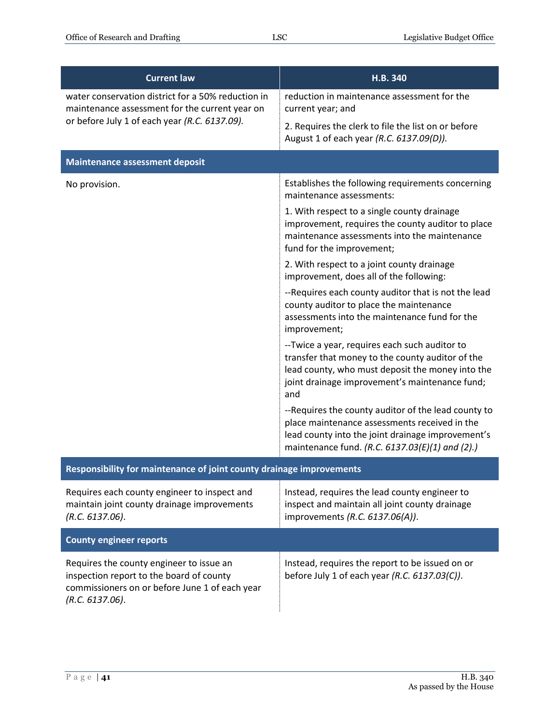| <b>Current law</b>                                                                                                                                        | H.B. 340                                                                                                                                                                                                       |
|-----------------------------------------------------------------------------------------------------------------------------------------------------------|----------------------------------------------------------------------------------------------------------------------------------------------------------------------------------------------------------------|
| water conservation district for a 50% reduction in<br>maintenance assessment for the current year on                                                      | reduction in maintenance assessment for the<br>current year; and                                                                                                                                               |
| or before July 1 of each year (R.C. 6137.09).                                                                                                             | 2. Requires the clerk to file the list on or before<br>August 1 of each year (R.C. 6137.09(D)).                                                                                                                |
| <b>Maintenance assessment deposit</b>                                                                                                                     |                                                                                                                                                                                                                |
| No provision.                                                                                                                                             | Establishes the following requirements concerning<br>maintenance assessments:                                                                                                                                  |
|                                                                                                                                                           | 1. With respect to a single county drainage<br>improvement, requires the county auditor to place<br>maintenance assessments into the maintenance<br>fund for the improvement;                                  |
|                                                                                                                                                           | 2. With respect to a joint county drainage<br>improvement, does all of the following:                                                                                                                          |
|                                                                                                                                                           | --Requires each county auditor that is not the lead<br>county auditor to place the maintenance<br>assessments into the maintenance fund for the<br>improvement;                                                |
|                                                                                                                                                           | --Twice a year, requires each such auditor to<br>transfer that money to the county auditor of the<br>lead county, who must deposit the money into the<br>joint drainage improvement's maintenance fund;<br>and |
|                                                                                                                                                           | --Requires the county auditor of the lead county to<br>place maintenance assessments received in the<br>lead county into the joint drainage improvement's<br>maintenance fund. (R.C. 6137.03(E)(1) and (2).)   |
| Responsibility for maintenance of joint county drainage improvements                                                                                      |                                                                                                                                                                                                                |
| Requires each county engineer to inspect and<br>maintain joint county drainage improvements<br>(R.C. 6137.06).                                            | Instead, requires the lead county engineer to<br>inspect and maintain all joint county drainage<br>improvements (R.C. 6137.06(A)).                                                                             |
| <b>County engineer reports</b>                                                                                                                            |                                                                                                                                                                                                                |
| Requires the county engineer to issue an<br>inspection report to the board of county<br>commissioners on or before June 1 of each year<br>(R.C. 6137.06). | Instead, requires the report to be issued on or<br>before July 1 of each year (R.C. 6137.03(C)).                                                                                                               |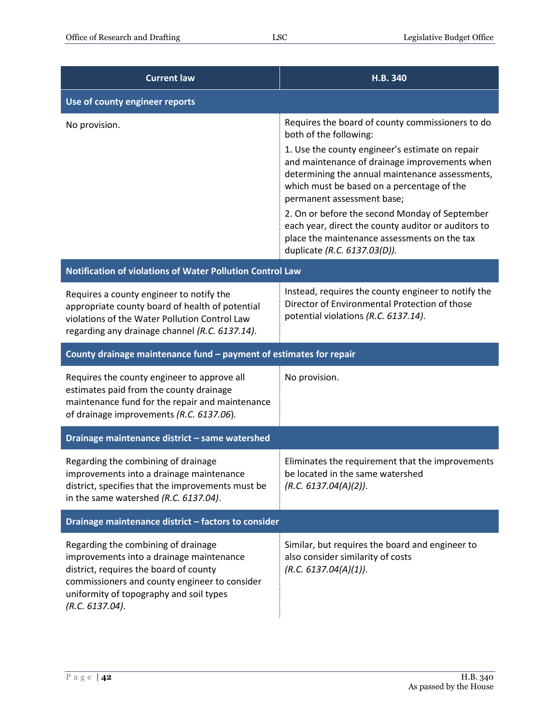| <b>Current law</b>                                                                                                                                                                                                                       | H.B. 340                                                                                                                                                                                                                                                                                                                                                                                                                                                                                               |
|------------------------------------------------------------------------------------------------------------------------------------------------------------------------------------------------------------------------------------------|--------------------------------------------------------------------------------------------------------------------------------------------------------------------------------------------------------------------------------------------------------------------------------------------------------------------------------------------------------------------------------------------------------------------------------------------------------------------------------------------------------|
| Use of county engineer reports                                                                                                                                                                                                           |                                                                                                                                                                                                                                                                                                                                                                                                                                                                                                        |
| No provision.                                                                                                                                                                                                                            | Requires the board of county commissioners to do<br>both of the following:<br>1. Use the county engineer's estimate on repair<br>and maintenance of drainage improvements when<br>determining the annual maintenance assessments,<br>which must be based on a percentage of the<br>permanent assessment base;<br>2. On or before the second Monday of September<br>each year, direct the county auditor or auditors to<br>place the maintenance assessments on the tax<br>duplicate (R.C. 6137.03(D)). |
| Notification of violations of Water Pollution Control Law                                                                                                                                                                                |                                                                                                                                                                                                                                                                                                                                                                                                                                                                                                        |
| Requires a county engineer to notify the<br>appropriate county board of health of potential<br>violations of the Water Pollution Control Law<br>regarding any drainage channel (R.C. 6137.14).                                           | Instead, requires the county engineer to notify the<br>Director of Environmental Protection of those<br>potential violations (R.C. 6137.14).                                                                                                                                                                                                                                                                                                                                                           |
| County drainage maintenance fund - payment of estimates for repair                                                                                                                                                                       |                                                                                                                                                                                                                                                                                                                                                                                                                                                                                                        |
| Requires the county engineer to approve all<br>estimates paid from the county drainage<br>maintenance fund for the repair and maintenance<br>of drainage improvements (R.C. 6137.06).                                                    | No provision.                                                                                                                                                                                                                                                                                                                                                                                                                                                                                          |
| Drainage maintenance district - same watershed                                                                                                                                                                                           |                                                                                                                                                                                                                                                                                                                                                                                                                                                                                                        |
| Regarding the combining of drainage<br>improvements into a drainage maintenance<br>district, specifies that the improvements must be<br>in the same watershed (R.C. 6137.04).                                                            | Eliminates the requirement that the improvements<br>be located in the same watershed<br>(R.C. 6137.04(A)(2)).                                                                                                                                                                                                                                                                                                                                                                                          |
| Drainage maintenance district - factors to consider                                                                                                                                                                                      |                                                                                                                                                                                                                                                                                                                                                                                                                                                                                                        |
| Regarding the combining of drainage<br>improvements into a drainage maintenance<br>district, requires the board of county<br>commissioners and county engineer to consider<br>uniformity of topography and soil types<br>(R.C. 6137.04). | Similar, but requires the board and engineer to<br>also consider similarity of costs<br>(R.C. 6137.04(A)(1)).                                                                                                                                                                                                                                                                                                                                                                                          |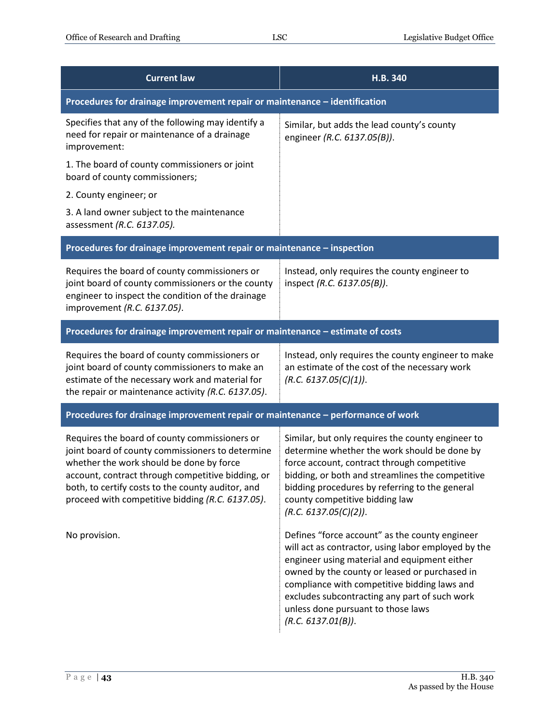| <b>Current law</b>                                                                                                                                                                                                                                                                                          | H.B. 340                                                                                                                                                                                                                                                                                                                                                            |  |
|-------------------------------------------------------------------------------------------------------------------------------------------------------------------------------------------------------------------------------------------------------------------------------------------------------------|---------------------------------------------------------------------------------------------------------------------------------------------------------------------------------------------------------------------------------------------------------------------------------------------------------------------------------------------------------------------|--|
| Procedures for drainage improvement repair or maintenance - identification                                                                                                                                                                                                                                  |                                                                                                                                                                                                                                                                                                                                                                     |  |
| Specifies that any of the following may identify a<br>need for repair or maintenance of a drainage<br>improvement:                                                                                                                                                                                          | Similar, but adds the lead county's county<br>engineer (R.C. 6137.05(B)).                                                                                                                                                                                                                                                                                           |  |
| 1. The board of county commissioners or joint<br>board of county commissioners;                                                                                                                                                                                                                             |                                                                                                                                                                                                                                                                                                                                                                     |  |
| 2. County engineer; or                                                                                                                                                                                                                                                                                      |                                                                                                                                                                                                                                                                                                                                                                     |  |
| 3. A land owner subject to the maintenance<br>assessment (R.C. 6137.05).                                                                                                                                                                                                                                    |                                                                                                                                                                                                                                                                                                                                                                     |  |
| Procedures for drainage improvement repair or maintenance - inspection                                                                                                                                                                                                                                      |                                                                                                                                                                                                                                                                                                                                                                     |  |
| Requires the board of county commissioners or<br>joint board of county commissioners or the county<br>engineer to inspect the condition of the drainage<br>improvement (R.C. 6137.05).                                                                                                                      | Instead, only requires the county engineer to<br>inspect (R.C. 6137.05(B)).                                                                                                                                                                                                                                                                                         |  |
| Procedures for drainage improvement repair or maintenance - estimate of costs                                                                                                                                                                                                                               |                                                                                                                                                                                                                                                                                                                                                                     |  |
| Requires the board of county commissioners or<br>joint board of county commissioners to make an<br>estimate of the necessary work and material for<br>the repair or maintenance activity (R.C. 6137.05).                                                                                                    | Instead, only requires the county engineer to make<br>an estimate of the cost of the necessary work<br>(R.C. 6137.05(C)(1)).                                                                                                                                                                                                                                        |  |
| Procedures for drainage improvement repair or maintenance - performance of work                                                                                                                                                                                                                             |                                                                                                                                                                                                                                                                                                                                                                     |  |
| Requires the board of county commissioners or<br>joint board of county commissioners to determine<br>whether the work should be done by force<br>account, contract through competitive bidding, or<br>both, to certify costs to the county auditor, and<br>proceed with competitive bidding (R.C. 6137.05). | Similar, but only requires the county engineer to<br>determine whether the work should be done by<br>force account, contract through competitive<br>bidding, or both and streamlines the competitive<br>bidding procedures by referring to the general<br>county competitive bidding law<br>(R.C. 6137.05(C)(2)).                                                   |  |
| No provision.                                                                                                                                                                                                                                                                                               | Defines "force account" as the county engineer<br>will act as contractor, using labor employed by the<br>engineer using material and equipment either<br>owned by the county or leased or purchased in<br>compliance with competitive bidding laws and<br>excludes subcontracting any part of such work<br>unless done pursuant to those laws<br>(R.C. 6137.01(B)). |  |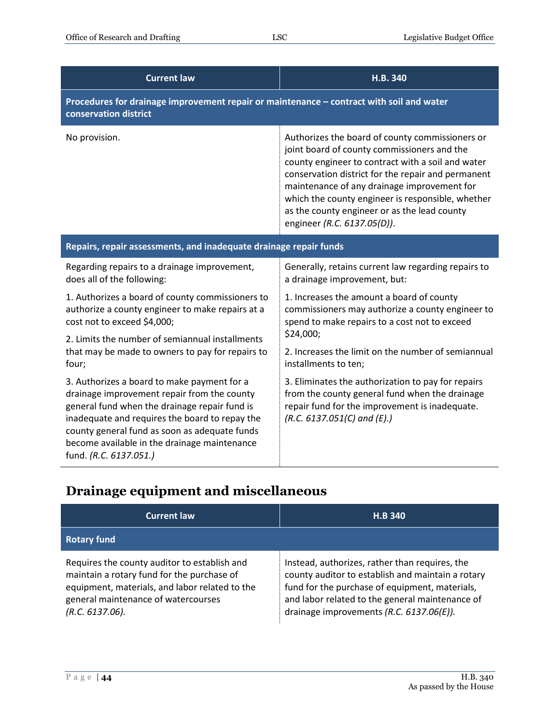| <b>Current law</b>                                                                                                                                                                                                                                                                                                       | H.B. 340                                                                                                                                                                                                                                                                                                                                                                                     |  |
|--------------------------------------------------------------------------------------------------------------------------------------------------------------------------------------------------------------------------------------------------------------------------------------------------------------------------|----------------------------------------------------------------------------------------------------------------------------------------------------------------------------------------------------------------------------------------------------------------------------------------------------------------------------------------------------------------------------------------------|--|
| Procedures for drainage improvement repair or maintenance - contract with soil and water<br>conservation district                                                                                                                                                                                                        |                                                                                                                                                                                                                                                                                                                                                                                              |  |
| No provision.                                                                                                                                                                                                                                                                                                            | Authorizes the board of county commissioners or<br>joint board of county commissioners and the<br>county engineer to contract with a soil and water<br>conservation district for the repair and permanent<br>maintenance of any drainage improvement for<br>which the county engineer is responsible, whether<br>as the county engineer or as the lead county<br>engineer (R.C. 6137.05(D)). |  |
| Repairs, repair assessments, and inadequate drainage repair funds                                                                                                                                                                                                                                                        |                                                                                                                                                                                                                                                                                                                                                                                              |  |
| Regarding repairs to a drainage improvement,<br>does all of the following:                                                                                                                                                                                                                                               | Generally, retains current law regarding repairs to<br>a drainage improvement, but:                                                                                                                                                                                                                                                                                                          |  |
| 1. Authorizes a board of county commissioners to<br>authorize a county engineer to make repairs at a<br>cost not to exceed \$4,000;                                                                                                                                                                                      | 1. Increases the amount a board of county<br>commissioners may authorize a county engineer to<br>spend to make repairs to a cost not to exceed                                                                                                                                                                                                                                               |  |
| 2. Limits the number of semiannual installments<br>that may be made to owners to pay for repairs to                                                                                                                                                                                                                      | \$24,000;<br>2. Increases the limit on the number of semiannual                                                                                                                                                                                                                                                                                                                              |  |
| four;                                                                                                                                                                                                                                                                                                                    | installments to ten;                                                                                                                                                                                                                                                                                                                                                                         |  |
| 3. Authorizes a board to make payment for a<br>drainage improvement repair from the county<br>general fund when the drainage repair fund is<br>inadequate and requires the board to repay the<br>county general fund as soon as adequate funds<br>become available in the drainage maintenance<br>fund. (R.C. 6137.051.) | 3. Eliminates the authorization to pay for repairs<br>from the county general fund when the drainage<br>repair fund for the improvement is inadequate.<br>$(R.C. 6137.051(C)$ and $(E).)$                                                                                                                                                                                                    |  |

### <span id="page-43-0"></span>**Drainage equipment and miscellaneous**

| <b>Current law</b>                                                                                                                                                                                        | <b>H.B 340</b>                                                                                                                                                                                                                                       |
|-----------------------------------------------------------------------------------------------------------------------------------------------------------------------------------------------------------|------------------------------------------------------------------------------------------------------------------------------------------------------------------------------------------------------------------------------------------------------|
| <b>Rotary fund</b>                                                                                                                                                                                        |                                                                                                                                                                                                                                                      |
| Requires the county auditor to establish and<br>maintain a rotary fund for the purchase of<br>equipment, materials, and labor related to the<br>general maintenance of watercourses<br>$(R.C. 6137.06)$ . | Instead, authorizes, rather than requires, the<br>county auditor to establish and maintain a rotary<br>fund for the purchase of equipment, materials,<br>and labor related to the general maintenance of<br>drainage improvements (R.C. 6137.06(E)). |